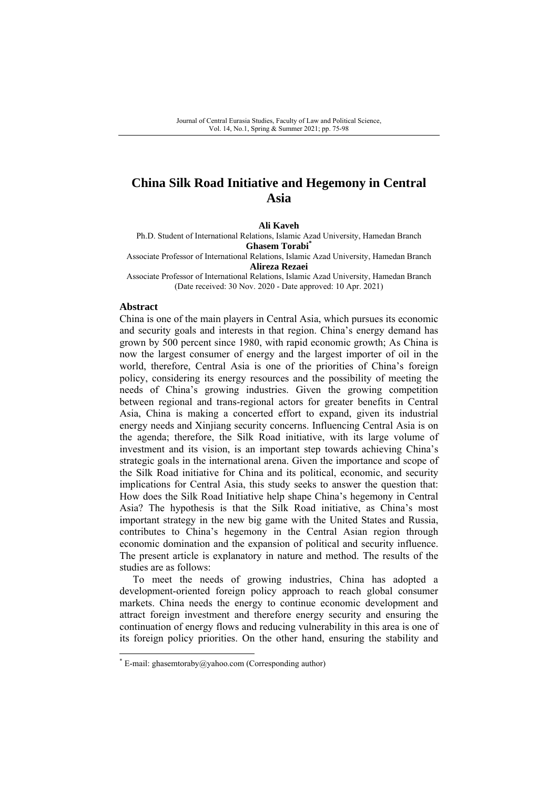# **China Silk Road Initiative and Hegemony in Central Asia**

**Ali Kaveh** 

Ph.D. Student of International Relations, Islamic Azad University, Hamedan Branch **Ghasem Torabi\*** 

Associate Professor of International Relations, Islamic Azad University, Hamedan Branch **Alireza Rezaei** 

Associate Professor of International Relations, Islamic Azad University, Hamedan Branch (Date received: 30 Nov. 2020 - Date approved: 10 Apr. 2021)

### **Abstract**

China is one of the main players in Central Asia, which pursues its economic and security goals and interests in that region. China's energy demand has grown by 500 percent since 1980, with rapid economic growth; As China is now the largest consumer of energy and the largest importer of oil in the world, therefore, Central Asia is one of the priorities of China's foreign policy, considering its energy resources and the possibility of meeting the needs of China's growing industries. Given the growing competition between regional and trans-regional actors for greater benefits in Central Asia, China is making a concerted effort to expand, given its industrial energy needs and Xinjiang security concerns. Influencing Central Asia is on the agenda; therefore, the Silk Road initiative, with its large volume of investment and its vision, is an important step towards achieving China's strategic goals in the international arena. Given the importance and scope of the Silk Road initiative for China and its political, economic, and security implications for Central Asia, this study seeks to answer the question that: How does the Silk Road Initiative help shape China's hegemony in Central Asia? The hypothesis is that the Silk Road initiative, as China's most important strategy in the new big game with the United States and Russia, contributes to China's hegemony in the Central Asian region through economic domination and the expansion of political and security influence. The present article is explanatory in nature and method. The results of the studies are as follows:

To meet the needs of growing industries, China has adopted a development-oriented foreign policy approach to reach global consumer markets. China needs the energy to continue economic development and attract foreign investment and therefore energy security and ensuring the continuation of energy flows and reducing vulnerability in this area is one of its foreign policy priorities. On the other hand, ensuring the stability and

<sup>\*</sup> E-mail: ghasemtoraby@yahoo.com (Corresponding author)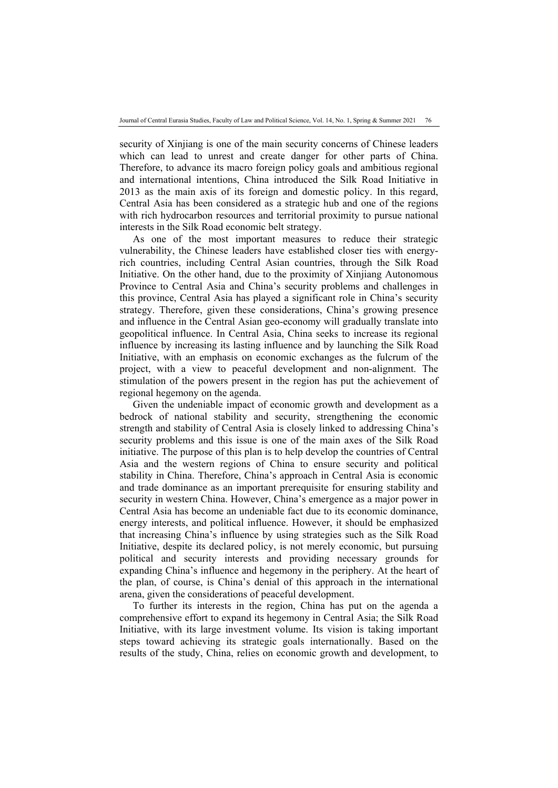security of Xinjiang is one of the main security concerns of Chinese leaders which can lead to unrest and create danger for other parts of China. Therefore, to advance its macro foreign policy goals and ambitious regional and international intentions, China introduced the Silk Road Initiative in 2013 as the main axis of its foreign and domestic policy. In this regard, Central Asia has been considered as a strategic hub and one of the regions with rich hydrocarbon resources and territorial proximity to pursue national interests in the Silk Road economic belt strategy.

As one of the most important measures to reduce their strategic vulnerability, the Chinese leaders have established closer ties with energyrich countries, including Central Asian countries, through the Silk Road Initiative. On the other hand, due to the proximity of Xinjiang Autonomous Province to Central Asia and China's security problems and challenges in this province, Central Asia has played a significant role in China's security strategy. Therefore, given these considerations, China's growing presence and influence in the Central Asian geo-economy will gradually translate into geopolitical influence. In Central Asia, China seeks to increase its regional influence by increasing its lasting influence and by launching the Silk Road Initiative, with an emphasis on economic exchanges as the fulcrum of the project, with a view to peaceful development and non-alignment. The stimulation of the powers present in the region has put the achievement of regional hegemony on the agenda.

Given the undeniable impact of economic growth and development as a bedrock of national stability and security, strengthening the economic strength and stability of Central Asia is closely linked to addressing China's security problems and this issue is one of the main axes of the Silk Road initiative. The purpose of this plan is to help develop the countries of Central Asia and the western regions of China to ensure security and political stability in China. Therefore, China's approach in Central Asia is economic and trade dominance as an important prerequisite for ensuring stability and security in western China. However, China's emergence as a major power in Central Asia has become an undeniable fact due to its economic dominance, energy interests, and political influence. However, it should be emphasized that increasing China's influence by using strategies such as the Silk Road Initiative, despite its declared policy, is not merely economic, but pursuing political and security interests and providing necessary grounds for expanding China's influence and hegemony in the periphery. At the heart of the plan, of course, is China's denial of this approach in the international arena, given the considerations of peaceful development.

To further its interests in the region, China has put on the agenda a comprehensive effort to expand its hegemony in Central Asia; the Silk Road Initiative, with its large investment volume. Its vision is taking important steps toward achieving its strategic goals internationally. Based on the results of the study, China, relies on economic growth and development, to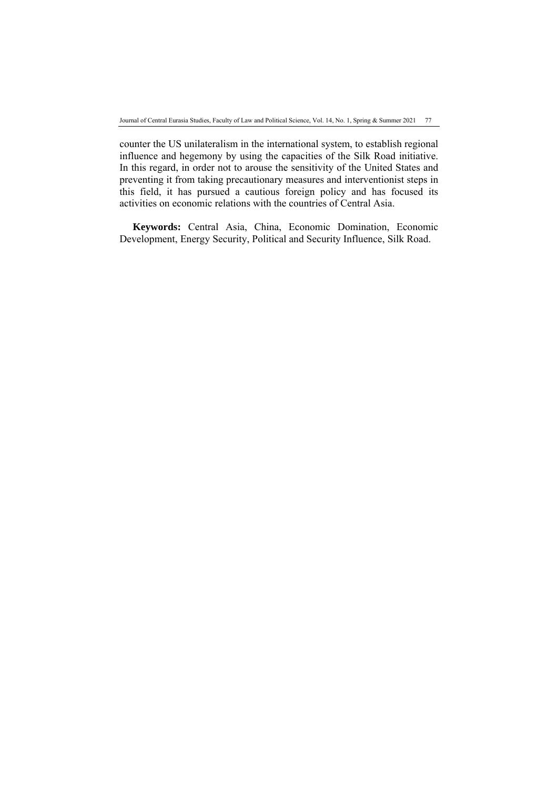counter the US unilateralism in the international system, to establish regional influence and hegemony by using the capacities of the Silk Road initiative. In this regard, in order not to arouse the sensitivity of the United States and preventing it from taking precautionary measures and interventionist steps in this field, it has pursued a cautious foreign policy and has focused its activities on economic relations with the countries of Central Asia.

**Keywords:** Central Asia, China, Economic Domination, Economic Development, Energy Security, Political and Security Influence, Silk Road.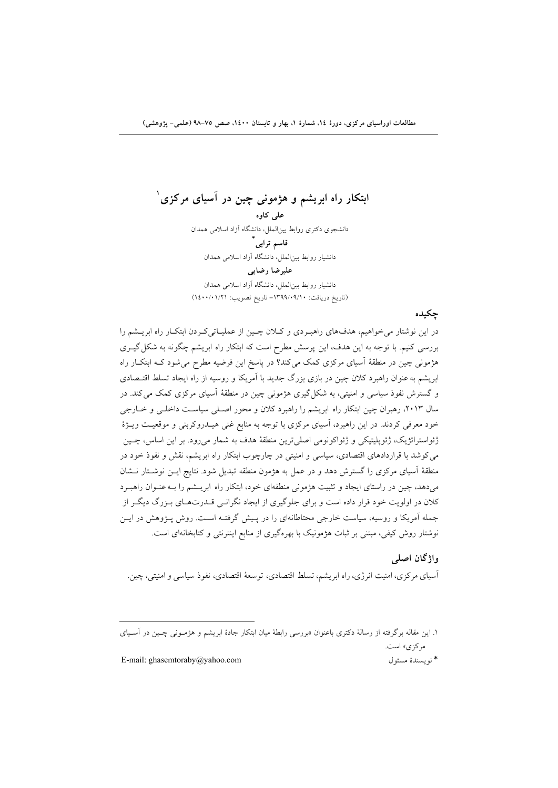**<sup>1</sup> ابتكار راه ابريشم و هژموني چين در آسياي مركزي**

**علي كاوه**  دانشجوي دكتري روابط بينالملل، دانشگاه آزاد اسلامي همدان  **\* قاسم ترابي** دانشيار روابط بينالملل، دانشگاه آزاد اسلامي همدان **عليرضا رضايي**

دانشيار روابط بينالملل، دانشگاه آزاد اسلامي همدان (تاريخ دريافت: -1399/09/10 تاريخ تصويب: 1400/01/21)

**چكيده** 

در اين نوشتار ميخواهيم، هدفهاي راهبـردي و كـلان چـين از عمليـاتيكـردن ابتكـار راه ابريـشم را بررسي كنيم. با توجه به اين هدف، اين پرسش مطرح است كه ابتكار راه ابريشم چگونه به شكلگيـري هژموني چين در منطقة آسياي مركزي كمك ميكند؟ در پاسخ اين فرضيه مطرح ميشود كـه ابتكـار راه ابريشم بهعنوان راهبرد كلان چين در بازي بزرگ جديد با آمريكا و روسيه از راه ايجاد تسلط اقتـصادي و گسترش نفوذ سياسي و امنيتي، به شكلگيري هژموني چين در منطقة آسياي مركزي كمك ميكند. در سال ،2013 رهبران چين ابتكار راه ابريشم را راهبرد كلان و محور اصـلي سياسـت داخلـي و خـارجي خود معرفي كردند. در اين راهبرد، آسياي مركزي با توجه به منابع غني هيـدروكربني و موقعيـت ويـژة ژئواستراتژيك، ژئوپليتيكي و ژئواكونومي اصليترين منطقة هدف به شمار ميرود. بر اين اساس، چـين ميكوشد با قراردادهاي اقتصادي، سياسي و امنيتي در چارچوب ابتكار راه ابريشم، نقش و نفوذ خود در منطقة آسياي مركزي را گسترش دهد و در عمل به هژمون منطقه تبديل شود. نتايج ايـن نوشـتار نـشان ميدهد، چين در راستاي ايجاد و تثبيت هژموني منطقهاي خود، ابتكار راه ابريـشم را بـهعنـوان راهبـرد كلان در اولويت خود قرار داده است و براي جلوگيري از ايجاد نگرانـي قـدرتهـاي بـزرگ ديگـر از جمله آمريكا و روسيه، سياست خارجي محتاطانهاي را در پـيش گرفتـه اسـت. روش پـژوهش در ايـن نوشتار روش كيفي، مبتني بر ثبات هژمونيك با بهرهگيري از منابع اينترنتي و كتابخانهاي است.

**واژگان اصلي**  آسياي مركزي، امنيت انرژي،راه ابريشم، تسلط اقتصادي، توسعة اقتصادي، نفوذ سياسي و امنيتي، چين.

.1 اين مقاله برگرفته از رسالة دكتري باعنوان «بررسي رابطة ميان ابتكار جادة ابريشم و هژمـوني چـين در آسـياي مركزي» است.

E-mail: ghasemtoraby@yahoo.com مسئول نويسندة\*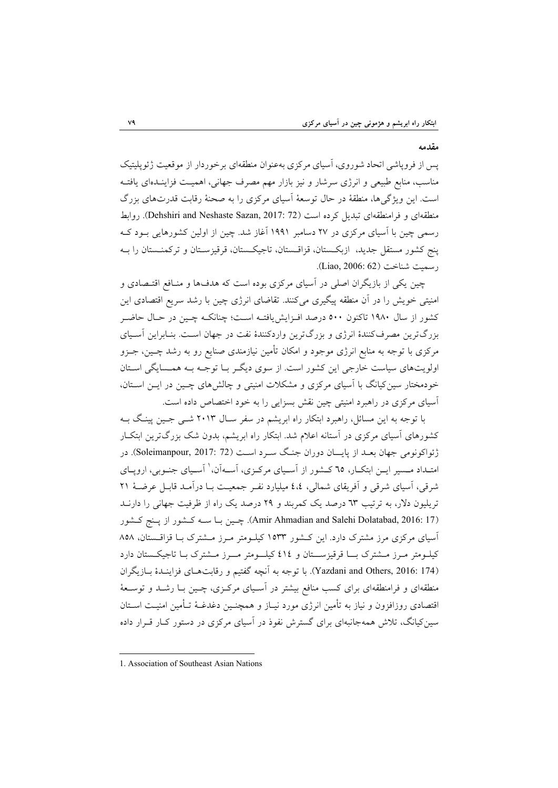#### **مقدمه**

پس از فروپاشي اتحاد شوروي، آسياي مركزي بهعنوان منطقهاي برخوردار از موقعيت ژئوپليتيك مناسب، منابع طبيعي و انرژي سرشار و نيز بازار مهم مصرف جهاني، اهميـت فزاينـدهاي يافتـه است. اين ويژگيها، منطقة در حال توسعة آسياي مركزي را به صحنة رقابت قدرتهاي بزرگ منطقهاي و فرامنطقهاي تبديل كرده است (72 :Dehshiri and Neshaste Sazan, 2017). روابط رسمي چين با آسياي مركزي در 27 دسامبر 1991 آغاز شد. چين از اولين كشورهايي بـود كـه پنج كشور مستقل جديد، ازبكـستان، قزاقـستان، تاجيكـستان، قرقيزسـتان و تركمنـستان را بـه رسميت شناخت (Liao, 2006: 62).

چين يكي از بازيگران اصلي در آسياي مركزي بوده است كه هدفها و منـافع اقتـصادي و امنيتي خويش را در آن منطقه پيگيري ميكنند. تقاضاي انرژي چين با رشد سريع اقتصادي اين كشور از سال 1980 تاكنون 500 درصد افـزايشيافتـه اسـت؛ چنانكـه چـين در حـال حاضـر بزرگترين مصرفكنندة انرژي و بزرگترين واردكنندة نفت در جهان اسـت. بنـابراين آسـياي مركزي با توجه به منابع انرژي موجود و امكان تأمين نيازمندي صنايع رو به رشد چـين، جـزو اولويتهاي سياست خارجي اين كشور است. از سوي ديگـر بـا توجـه بـه همـسايگي اسـتان خودمختار سينكيانگ با آسياي مركزي و مشكلات امنيتي و چالشهاي چـين در ايـن اسـتان، آسياي مركزي در راهبرد امنيتي چين نقش بسزايي را به خود اختصاص داده است.

با توجه به اين مسائل، راهبرد ابتكار راه ابريشم در سفر سـال 2013 شـي جـين پينـگ بـه كشورهاي آسياي مركزي در آستانه اعلام شد. ابتكار راه ابريشم، بدون شك بزرگترين ابتكـار ژئواكونومي جهان بعـد از پايــان دوران جنـگ سـرد اسـت (72 2017: ,Soleimanpour(. در امتــداد مـسير ايــن ابتكــار، ٦٥ كــشور از آســياي مركـزي، آســهآن،<sup>۱</sup> آسـياي جنــوبي، ارويــاي شرقي، آسياي شرقي و آفريقاي شمالي، 4،4 ميليارد نفـر جمعيـت بـا درآمـد قابـل عرضـة 21 تريليون دلار، به ترتيب 63 درصد يك كمربند و 29 درصد يك راه از ظرفيت جهاني را دارنـد (17 Amir Ahmadian and Salehi Dolatabad, 2016: چـين بـا سـه كـشور از پـنج كـشور آسياي مركزي مرز مشترك دارد. اين كـشور 1533 كيلـومتر مـرز مـشترك بـا قزاقـستان، 858 كيلـومتر مـرز مـشترك بــا قرقيزســتان و 414 كيلــومتر مــرز مـشترك بـا تاجيكـستان دارد (174 Yazdani and Others, 2016: با توجه به آنچه گفتيم و رقابتهـاي فزاينـدهٔ بـازيگران منطقهاي و فرامنطقهاي براي كسب منافع بيشتر در آسـياي مركـزي، چـين بـا رشـد و توسـعة اقتصادي روزافزون و نياز به تأمين انرژي مورد نيـاز و همچنـين دغدغـة تـأمين امنيـت اسـتان سينكيانگ، تلاش همهجانبهاي براي گسترش نفوذ در آسياي مركزي در دستور كـار قـرار داده

 1. Association of Southeast Asian Nations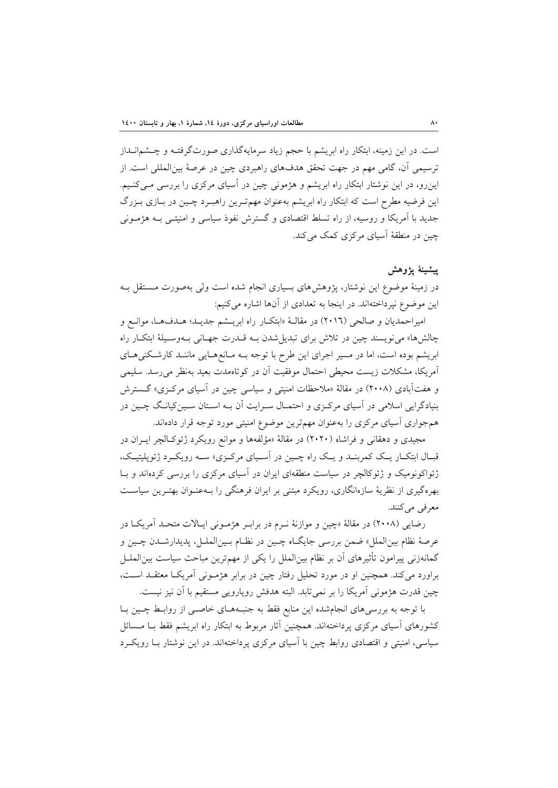است. در اين زمينه، ابتكار راه ابريشم با حجم زياد سرمايهگذاري صورتگرفتـه و چـشمانـداز ترسيمي آن، گامي مهم در جهت تحقق هدفهاي راهبردي چين در عرصة بينالمللي است. از اينرو، در اين نوشتار ابتكار راه ابريشم و هژموني چين در آسياي مركزي را بررسي مـيكنـيم. اين فرضيه مطرح است كه ابتكار راه ابريشم بهعنوان مهمتـرين راهبـرد چـين در بـازي بـزرگ جديد با آمريكا و روسيه، از راه تسلط اقتصادي و گسترش نفوذ سياسي و امنيتـي بـه هژمـوني چين در منطقة آسياي مركزي كمك ميكند.

## **پيشينة پژوهش**

در زمينة موضوع اين نوشتار، پژوهشهاي بسياري انجام شده است ولي بهصورت مـستقل بـه اين موضوع نپرداختهاند. در اينجا به تعدادي از آنها اشاره ميكنيم:

اميراحمديان و صالحي (2016) در مقالـة «ابتكـار راه ابريـشم جديـد؛ هـدفهـا، موانـع و چالشها» مينويسند چين در تلاش براي تبديلشدن بـه قـدرت جهـاني بـهوسـيلة ابتكـار راه ابريشم بوده است، اما در مسير اجراي اين طرح با توجه بـه مـانعهـايي ماننـد كارشـكنيهـاي آمريكا، مشكلات زيست محيطي احتمال موفقيت آن در كوتاهمدت بعيد بهنظر ميرسد. سليمي و هفتآبادي (2008) در مقالة «ملاحظات امنيتي و سياسي چين در آسياي مركـزي» گـسترش بنيادگرايي اسلامي در آسياي مركـزي و احتمـال سـرايت آن بـه اسـتان سـينكيانـگ چـين در همجواري آسياي مركزي را بهعنوان مهمترين موضوع امنيتي مورد توجه قرار دادهاند.

مجيدي و دهقاني و فراشاه (2020) در مقالة «مؤلفهها و موانع رويكرد ژئوكـالچر ايـران در قبـال ابتكـار يـك كمربنـد و يـك راه چـين در آسـياي مركـزي» سـه رويكـرد ژئوپليتيـك، ژئواكونوميك و ژئوكالچر در سياست منطقهاي ايران در آسياي مركزي را بررسي كردهاند و بـا بهرهگيري از نظرية سازهانگاري، رويكرد مبتني بر ايران فرهنگي را بـهعنـوان بهتـرين سياسـت معرفي مي كنند.

رضايي (2008) در مقالة «چين و موازنة نـرم در برابـر هژمـوني ايـالات متحـد آمريكـا در عرصة نظام بينالملل» ضمن بررسي جايگـاه چـين در نظـام بـينالملـل، پديدارشـدن چـين و گمانهزني پيرامون تأثيرهاي آن بر نظام بينالملل را يكي از مهمترين مباحث سياست بينالملـل براورد ميكند. همچنين او در مورد تحليل رفتار چين در برابر هژمـوني آمريكـا معتقـد اسـت، چين قدرت هژموني آمريكا را بر نميتابد. البته هدفش رويارويي مستقيم با آن نيز نيست.

با توجه به بررسيهاي انجامشده اين منابع فقط به جنبـههـاي خاصـي از روابـط چـين بـا كشورهاي آسياي مركزي پرداختهاند. همچنين آثار مربوط به ابتكار راه ابريشم فقط بـا مـسائل سياسي، امنيتي و اقتصادي روابط چين با آسياي مركزي پرداختهاند. در اين نوشتار بـا رويكـرد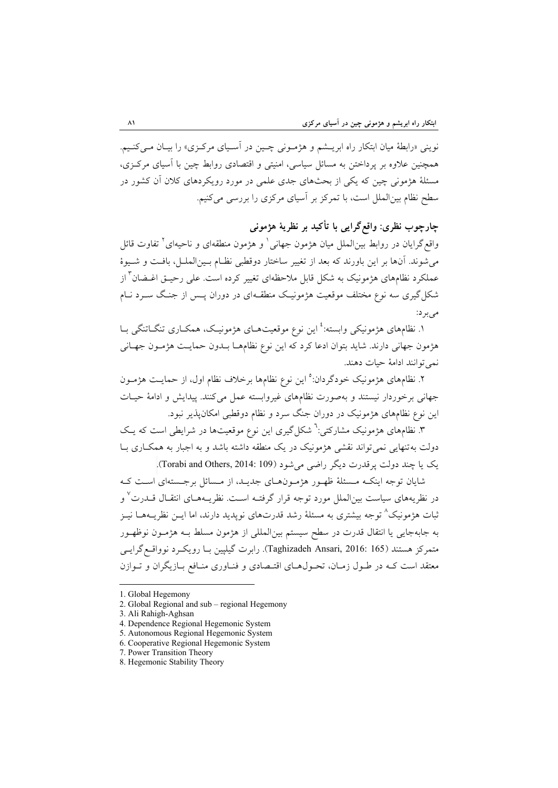نويني «رابطة ميان ابتكار راه ابريـشم و هژمـوني چـين در آسـياي مركـزي» را بيـان مـيكنـيم. همچنين علاوه بر پرداختن به مسائل سياسي، امنيتي و اقتصادي روابط چين با آسياي مركـزي، مسئلة هژموني چين كه يكي از بحثهاي جدي علمي در مورد رويكردهاي كلان آن كشور در سطح نظام بينالملل است، با تمركز بر آسياي مركزي را بررسي ميكنيم.

# **چارچوب نظري: واقعگرايي با تأكيد بر نظرية هژموني**

واقع گرايان در روابط بين|لملل ميان هژمون جهاني ٰ و هژمون منطقهاي و ناحيهاي ٔ تفاوت قائل ميشوند. آنها بر اين باورند كه بعد از تغيير ساختار دوقطبي نظـام بـينالملـل، بافـت و شـيوة عملكرد نظامهاي هژمونيك به شكل قابل ملاحظهاي تغيير كرده است. علي رحيــق اغــضان<sup>۳</sup> از شكلگيري سه نوع مختلف موقعيت هژمونيـك منطقـهاي در دوران پـس از جنـگ سـرد نـام ميبرد:

۱. نظامهاي هژمونيكي وابسته:<sup>٤</sup> اين نوع موقعيتهــاي هژمونيـك، همكــاري تنگــاتنگي بــا هژمون جهاني دارند. شايد بتوان ادعا كرد كه اين نوع نظامهـا بـدون حمايـت هژمـون جهـاني نميتوانند ادامة حيات دهند.

۲. نظامهاي هژمونيک خودگردان:<sup>0</sup> اين نوع نظامها برخلاف نظام اول، از حمايـت هژمـون جهاني برخوردار نيستند و بهصورت نظامهاي غيروابسته عمل ميكنند. پيدايش و ادامة حيـات اين نوع نظامهاي هژمونيك در دوران جنگ سرد و نظام دوقطبي امكانپذير نبود.

۳. نظامهاي هژمونيک مشارکتي:<sup>٦</sup> شکل گيري اين نوع موقعيتها در شرايطي است که يـک دولت بهتنهايي نميتواند نقشي هژمونيك در يك منطقه داشته باشد و به اجبار به همكـاري بـا يك يا چند دولت پرقدرت ديگر راضي مي شود (Torabi and Others, 2014: 109).

شايان توجه اينكـه مـسئلة ظهـور هژمـونهـاي جديـد، از مـسائل برجـستهاي اسـت كـه در نظريههاي سياست بين|لملل مورد توجه قرار گرفتـه اسـت. نظريــههـاي انتقــال قــدرت<sup>٧</sup> و ثبات هژمونيك^ توجه بيشتري به مسئلهٔ رشد قدرتهاي نوپديد دارند، اما ايــن نظريــههــا نيــز به جابهجايي يا انتقال قدرت در سطح سيستم بينالمللي از هژمون مسلط بـه هژمـون نوظهـور متمركز هستند (165 :Taghizadeh Ansari, 2016). رابرت گيلپين بـا رويكـرد نوواقـع گرايـي معتقد است كـه در طـول زمـان، تحـولهـاي اقتـصادي و فنـاوري منـافع بـازيگران و تـوازن

<sup>1.</sup> Global Hegemony

<sup>2.</sup> Global Regional and sub – regional Hegemony

<sup>3.</sup> Ali Rahigh-Aghsan

<sup>4.</sup> Dependence Regional Hegemonic System

<sup>5.</sup> Autonomous Regional Hegemonic System

<sup>6.</sup> Cooperative Regional Hegemonic System

<sup>7.</sup> Power Transition Theory

<sup>8.</sup> Hegemonic Stability Theory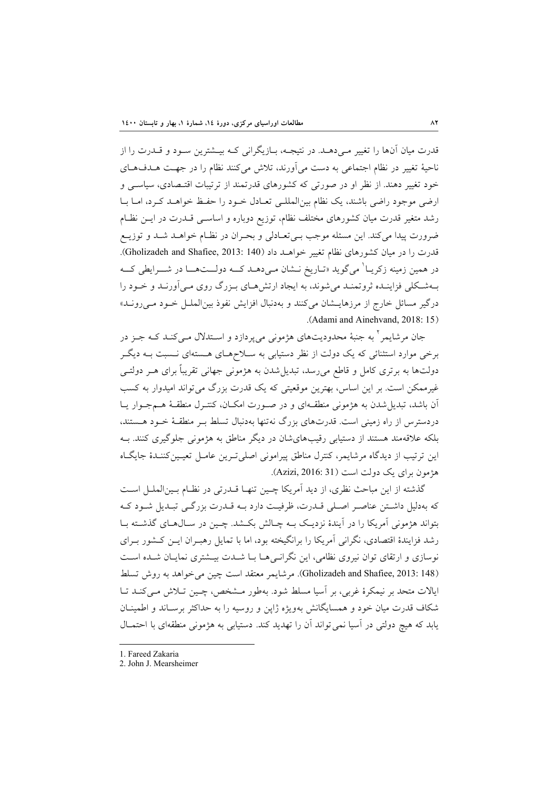قدرت ميان آنها را تغيير مـي دهـد. در نتيجـه، بـازيگراني كـه بيـشترين سـود و قــدرت را از ناحية تغيير در نظام اجتماعي به دست ميآورند، تلاش ميكنند نظام را در جهـت هـدفهـاي خود تغيير دهند. از نظر او در صورتي كه كشورهاي قدرتمند از ترتيبات اقتـصادي، سياسـي و ارضي موجود راضي باشند، يك نظام بينالمللـي تعـادل خـود را حفـظ خواهـد كـرد، امـا بـا رشد متغير قدرت ميان كشورهاي مختلف نظام، توزيع دوباره و اساسـي قـدرت در ايـن نظـام ضرورت پيدا ميكند. اين مسئله موجب بـيتعـادلي و بحـران در نظـام خواهـد شـد و توزيـع قدرت را در ميان كشورهاي نظام تغيير خواهــد داد (140 :Gholizadeh and Shafiee, 2013). در همين زمينه زكريــا<sup>\</sup> ميگويد «تــاريخ نــشان مـي دهــد كـــه دولـــتهــــا در شــــرايطي كـــه بـهشـكلي فزاينـده ثروتمنـد ميشوند، به ايجاد ارتشهـاي بـزرگ روي مـيآورنـد و خـود را درگير مسائل خارج از مرزهايـشان ميكنند و بهدنبال افزايش نفوذ بينالملـل خـود مـيرونـد» .(Adami and Ainehvand, 2018: 15)

جان مرشايمر<sup>۲</sup> به جنبهٔ محدوديتهاي هژموني ميپردازد و اسـتدلال مـيكنـد كـه جـز در برخي موارد استثنائي كه يك دولت از نظر دستيابي به سـلاحهـاي هـستهاي نـسبت بـه ديگـر دولتها به برتري كامل و قاطع ميرسد، تبديلشدن به هژموني جهاني تقريباً براي هـر دولتـي غيرممكن است. بر اين اساس، بهترين موقعيتي كه يك قدرت بزرگ مي تواند اميدوار به كسب آن باشد، تبديلشدن به هژموني منطقـهاي و در صـورت امكـان، كنتـرل منطقـة هـمجـوار يـا دردسترس از راه زميني است. قدرتهاي بزرگ نهتنها بهدنبال تسلط بـر منطقـة خـود هـستند، بلكه علاقهمند هستند از دستيابي رقيبهايشان در ديگر مناطق به هژموني جلوگيري كنند. بـه اين ترتيب از ديدگاه مرشايمر، كنترل مناطق پيراموني اصليتـرين عامـل تعيـينكننـدة جايگـاه هژمون براي يك دولت است (31 2016: ,Azizi(.

گذشته از اين مباحث نظري، از ديد آمريكا چـين تنهـا قـدرتي در نظـام بـينالملـل اسـت كه بهدليل داشـتن عناصـر اصـلي قـدرت، ظرفيـت دارد بـه قـدرت بزرگـي تبـديل شـود كـه بتواند هژموني آمريكا را در آيندة نزديـك بـه چـالش بكـشد. چـين در سـالهـاي گذشـته بـا رشد فزايندة اقتصادي، نگراني آمريكا را برانگيخته بود، اما با تمايل رهبـران ايـن كـشور بـراي نوسازي و ارتقاي توان نيروي نظامي، اين نگرانـيهـا بـا شـدت بيـشتري نمايـان شـده اسـت (148 Gholizadeh and Shafiee, 2013: مرشايمر معتقد است چين مي خواهد به روش تسلط ايالات متحد بر نيمكرة غربي، بر آسيا مسلط شود. بهطور مـشخص، چـين تـلاش مـيكنـد تـا شكاف قدرت ميان خود و همسايگانش بهويژه ژاپن و روسيه را به حداكثر برسـاند و اطمينـان يابد كه هيچ دولتي در آسيا نميتواند آن را تهديد كند. دستيابي به هژموني منطقهاي با احتمـال

<sup>1.</sup> Fareed Zakaria

<sup>2.</sup> John J. Mearsheimer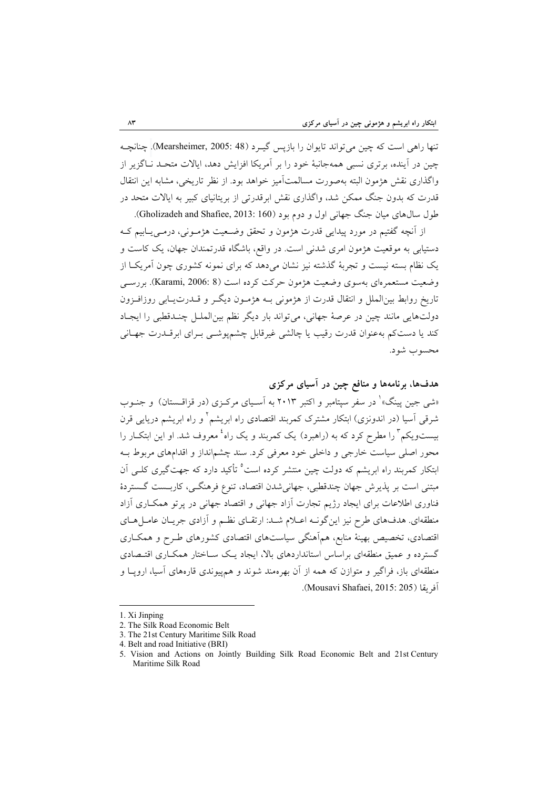تنها راهي است كه چين ميتواند تايوان را بازپس گيـرد (48 :Mearsheimer, 2005). چنانچـه چين در آينده، برتري نسبي همهجانبة خود را بر آمريكا افزايش دهد، ايالات متحـد نـاگزير از واگذاري نقش هژمون البته بهصورت مسالمتآميز خواهد بود. از نظر تاريخي، مشابه اين انتقال قدرت كه بدون جنگ ممكن شد، واگذاري نقش ابرقدرتي از بريتانياي كبير به ايالات متحد در طول سال هاي ميان جنگ جهاني اول و دوم بود (160 :Gholizadeh and Shafiee, 2013).

از آنچه گفتيم در مورد پيدايي قدرت هژمون و تحقق وضـعيت هژمـوني، درمـييـابيم كـه دستيابي به موقعيت هژمون امري شدني است. در واقع، باشگاه قدرتمندان جهان، يك كاست و يك نظام بسته نيست و تجربة گذشته نيز نشان ميدهد كه براي نمونه كشوري چون آمريكـا از وضعيت مستعمرهاي بهسوي وضعيت هژمون حركت كرده است (8 .Karami, 2006: 8). بررسـي تاريخ روابط بينالملل و انتقال قدرت از هژموني بـه هژمـون ديگـر و قـدرتيـابي روزافـزون دولتهايي مانند چين در عرصة جهاني، ميتواند بار ديگر نظم بينالملـل چنـدقطبي را ايجـاد كند يا دستكم بهعنوان قدرت رقيب يا چالشي غيرقابل چشمپوشـي بـراي ابرقـدرت جهـاني محسوب شود.

**هدفها، برنامهها و منافع چين در آسياي مركزي**  «شى جين پينگ»<sup>\</sup> در سفر سپتامبر و اكتبر ٢٠١٣ به آسـياى مركـزى (در قزاقـستان) و جنـوب شرقى آسيا (در اندونزى) ابتكار مشترك كمربند اقتصادى راه ابريشم<sup>٬</sup> و راه ابريشم دريايى قرن بیستویکم ّ را مطرح کرد که به (راهبرد) یک کمربند و یک راه<sup>ٔ</sup> معروف شد. او این ابتکـار را محور اصلى سياست خارجى و داخلى خود معرفى كرد. سند چشمانداز و اقدامهاي مربوط بـه ابتكار كمربند راه ابريشم كه دولت چين منتشر كرده است<sup>ه</sup> تأكيد دارد كه جهتگيرى كلـى آن مبتنى است بر پذيرش جهان چندقطبى، جهانيشدن اقتصاد، تنوع فرهنگـى، كاربـست گـستردة فناورى اطلاعات براى ايجاد رژيم تجارت آزاد جهانى و اقتصاد جهانى در پرتو همكـارى آزاد منطقهاى. هدفهاي طرح نيز اينگونـه اعـلام شـد: ارتقـاي نظـم و آزادى جريـان عامـلهـاي اقتصادى، تخصيص بهينة منابع، همآهنگى سياستهاى اقتصادى كشورهاى طـرح و همكـارى گسترده و عميق منطقهاى براساس استانداردهاى بالا، ايجاد يـك سـاختار همكـارى اقتـصادى منطقهاى باز، فراگير و متوازن كه همه از آن بهرهمند شوند و همپيوندى قارههاى آسيا، اروپـا و .(Mousavi Shafaei, 2015: 205) آفريقا

<sup>1.</sup> Xi Jinping

<sup>2.</sup> The Silk Road Economic Belt

<sup>3.</sup> The 21st Century Maritime Silk Road

<sup>4.</sup> Belt and road Initiative (BRI)

<sup>5.</sup> Vision and Actions on Jointly Building Silk Road Economic Belt and 21st Century Maritime Silk Road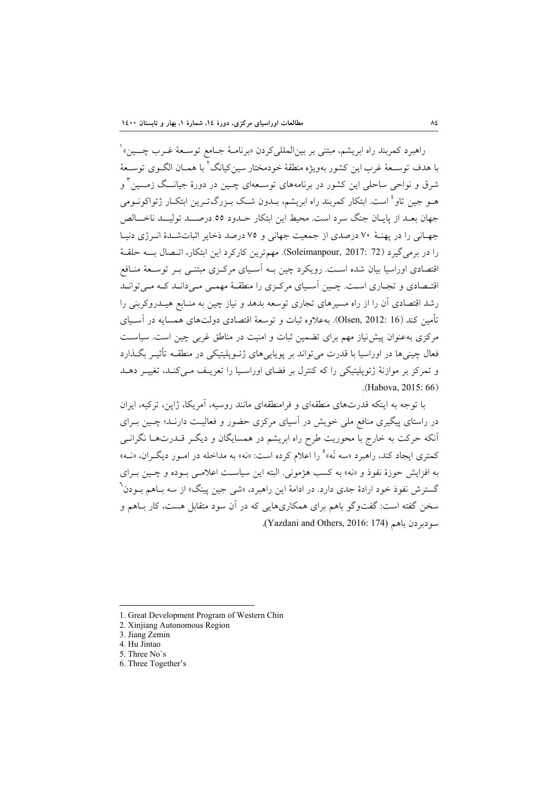راهبرد كمربند راه ابريشم، مبتنى بر بين|لملليكردن «برنامــهٔ جــامع توســعهٔ غــرب چــــين» ْ با هدف توسـعة غرب اين كشور بهويژه منطقة خودمختار سينكيانگ<sup>7</sup> با همـان الگـوي توسـعة و <sup>3</sup> شرق و نواحي ساحلي اين كشور در برنامههاي توسـعهاي چـين در دورة جيانــگ زمــين هـو جين تاو<sup>ء</sup>ُ است. ابتكار كمربند راه ابريشم، بــدون شــك بــزرگتــرين ابتكــار ژئواكونــومى جهان بعـد از پايـان جنگ سرد است. محيط اين ابتكار حـدود 55 درصــد توليــد ناخــالص جهـاني را در پهنـة 70 درصدي از جمعيت جهاني و 75 درصد ذخاير اثباتشـدة انـرژي دنيـا را در برميگيرد (72 2017: ,Soleimanpour(. مهمترين كاركرد اين ابتكار، اتـصال بــه حلقـة اقتصادي اوراسيا بيان شده اسـت. رويكرد چين بـه آسـياي مركـزي مبتنـي بـر توسـعة منـافع اقتـصادي و تجـاري اسـت. چـين آسـياي مركـزي را منطقـة مهمـي مـيدانـد كـه مـيتوانـد رشد اقتصادي آن را از راه مسيرهاي تجاري توسعه بدهد و نياز چين به منـابع هيـدروكربني را تأمين كند (16 2012: ,Olsen(. بهعلاوه ثبات و توسعة اقتصادي دولتهاي همسايه در آسـياي مركزي بهعنوان پيشنياز مهم براي تضمين ثبات و امنيت در مناطق غربي چين است. سياسـت فعال چينيها در اوراسيا با قدرت ميتواند بر پوياييهاي ژئـوپليتيكي در منطقـه تأثيـر بگـذارد و تمركز بر موازنة ژئوپليتيكي را كه كنترل بر فضاي اوراسـيا را تعريـف مـيكنـد، تغييـر دهـد  $(Habova, 2015.66)$ 

با توجه به اينكه قدرتهاي منطقهاي و فرامنطقهاي مانند روسيه، آمريكا، ژاپن، تركيه، ايران در راستاي پيگيري منافع ملي خويش در آسياي مركزي حضور و فعاليـت دارنـد؛ چـين بـراي آنكه حركت به خارج با محوريت طرح راه ابريشم در همسايگان و ديگـر قـدرتهـا نگرانـى كمترى ايجاد كند، راهبرد «سه نَه» وا اعلام كرده است: «نه» به مداخله در امـور ديگـران، «نــه» به افزايش حوزة نفوذ و «نه» به كسب هژمونى. البته اين سياسـت اعلامـي بـوده و چـين بـراي گسترش نفوذ خود ارادهٔ جدی دارد. در ادامهٔ این راهبرد، «شی جین پینگ» از سه بــاهم بــودن<sup>٦</sup> سخن گفته است: گفتوگو باهم براى همكاريهايى كه در آن سود متقابل هست، كار بـاهم و **.**(Yazdani and Others, 2016: 174) باهم سودبردن

6. Three Together's

<sup>1.</sup> Great Development Program of Western Chin

<sup>2.</sup> Xinjiang Autonomous Region

<sup>3.</sup> Jiang Zemin

<sup>4.</sup> Hu Jintao

<sup>5.</sup> Three No`s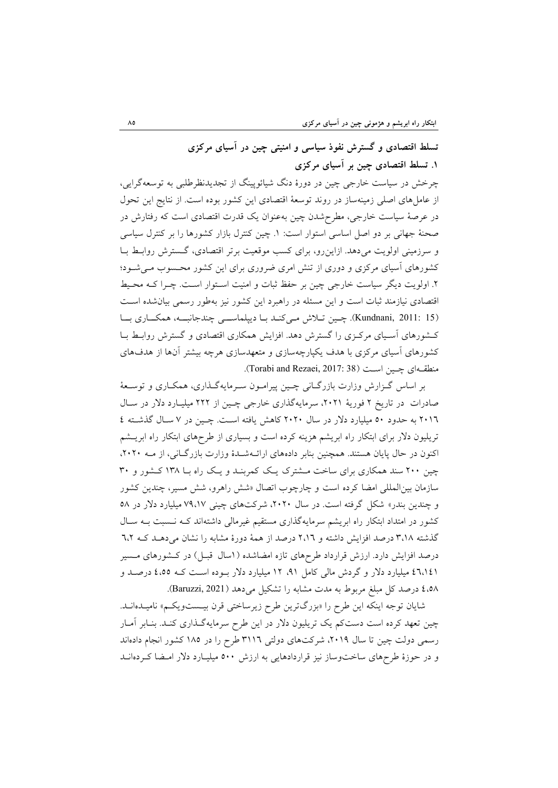# **تسلط اقتصادي و گسترش نفوذ سياسي و امنيتي چين در آسياي مركزي .1 تسلط اقتصادي چين بر آسياي مركزي**

چرخش در سياست خارجي چين در دورة دنگ شيائوپينگ از تجديدنظرطلبي به توسعهگرايي، از عاملهاي اصلي زمينهساز در روند توسعة اقتصادي اين كشور بوده است. از نتايج اين تحول در عرصة سياست خارجي، مطرحشدن چين بهعنوان يك قدرت اقتصادي است كه رفتارش در صحنة جهاني بر دو اصل اساسي استوار است: .1 چين كنترل بازار كشورها را بر كنترل سياسي و سرزميني اولويت ميدهد. ازاينرو، براي كسب موقعيت برتر اقتصادي، گـسترش روابـط بـا كشورهاي آسياي مركزي و دوري از تنش امري ضروري براي اين كشور محـسوب مـيشـود؛ .2 اولويت ديگر سياست خارجي چين بر حفظ ثبات و امنيت اسـتوار اسـت. چـرا كـه محـيط اقتصادي نيازمند ثبات است و اين مسئله در راهبرد اين كشور نيز بهطور رسمي بيانشده اسـت (15 2011: ,Kundnani(. چـين تـلاش مـيكنـد بـا ديپلماســي چندجانبــه، همكــاري بــا كـشورهاي آسـياي مركـزي را گسترش دهد. افزايش همكاري اقتصادي و گسترش روابـط بـا كشورهاي آسياي مركزي با هدف يكپارچهسازي و متعهدسازي هرچه بيشتر آنها از هدفهاي منطقـهاي چـين اسـت (38 :Torabi and Rezaei, 2017).

بر اساس گـزارش وزارت بازرگـاني چـين پيرامـون سـرمايهگـذاري، همكـاري و توسـعة صادرات در تاريخ 2 فورية ،2021 سرمايهگذاري خارجي چـين از 222 ميليـارد دلار در سـال 2016 به حدود 50 ميليارد دلار در سال 2020 كاهش يافته اسـت. چـين در 7 سـال گذشـته 4 تريليون دلار براي ابتكار راه ابريشم هزينه كرده است و بسياري از طرحهاي ابتكار راه ابريـشم اكنون در حال پايان هستند. همچنين بنابر دادههاي ارائـهشـدة وزارت بازرگـاني، از مـه ،2020 چين 200 سند همكاري براي ساخت مـشترك يـك كمربنـد و يـك راه بـا 138 كـشور و 30 سازمان بينالمللي امضا كرده است و چارچوب اتصال «شش راهرو، شش مسير، چندين كشور و چندين بندر» شكل گرفته است. در سال ،2020 شركتهاي چيني 79،17 ميليارد دلار در 58 كشور در امتداد ابتكار راه ابريشم سرمايهگذاري مستقيم غيرمالي داشتهاند كـه نـسبت بـه سـال گذشته 3،18 درصد افزايش داشته و 2،16 درصد از همة دورة مشابه را نشان ميدهـد كـه 6،2 درصد افزايش دارد. ارزش قرارداد طرحهاي تازه امضاشده (1سال قبـل) در كـشورهاي مـسير 46،141 ميليارد دلار و گردش مالي كامل ،91 12 ميليارد دلار بـوده اسـت كـه 4،55 درصـد و 4،58 درصد كل مبلغ مربوط به مدت مشابه را تشكيل ميدهد (2021 ,Baruzzi(.

شايان توجه اينكه اين طرح را «بزرگترين طرح زيرساختي قرن بيـستويكـم» ناميـدهانـد. چين تعهد كرده است دستكم يك تريليون دلار در اين طرح سرمايهگـذاري كنـد. بنـابر آمـار رسمي دولت چين تا سال ،2019 شركتهاي دولتي 3116 طرح را در 185 كشور انجام دادهاند و در حوزة طرحهاي ساختوساز نيز قراردادهايي به ارزش 500 ميليـارد دلار امـضا كـردهانـد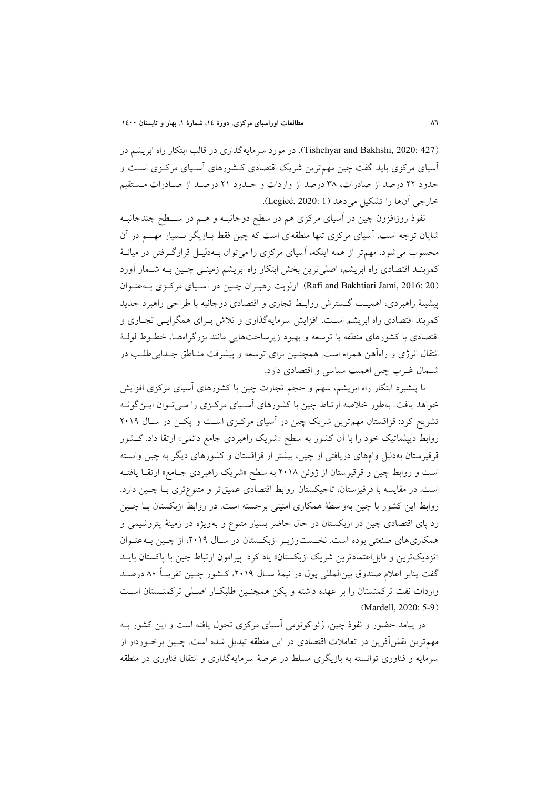(127 Tishehyar and Bakhshi, 2020: در مورد سرمايهگذاري در قالب ابتكار راه ابريشم در آسياي مركزي بايد گفت چين مهمترين شريك اقتصادي كـشورهاي آسـياي مركـزي اسـت و حدود 22 درصد از صادرات، 38 درصد از واردات و حـدود 21 درصـد از صـادرات مـستقيم خارجي آنها را تشكيل ميدهد (1 2020: ,Legieć(.

نفوذ روزافزون چين در آسياي مركزي هم در سطح دوجانبـه و هـم در ســطح چندجانبـه شايان توجه است. آسياي مركزي تنها منطقهاي است كه چين فقط بـازيگر بـسيار مهــم در آن محسوب ميشود. مهمتر از همه اينكه، آسياي مركزي را ميتوان بـهدليـل قرارگـرفتن در ميانـة كمربنـد اقتصادي راه ابريشم، اصليترين بخش ابتكار راه ابريشم زمينـي چـين بـه شـمار آورد (20 2016: ,Jami Bakhtiari and Rafi(. اولويت رهبـران چـين در آسـياي مركـزي بـهعنـوان پيشينة راهبردي، اهميـت گـسترش روابـط تجاري و اقتصادي دوجانبه با طراحي راهبرد جديد كمربند اقتصادي راه ابريشم اسـت. افزايش سرمايهگذاري و تلاش بـراي همگرايـي تجـاري و اقتصادي با كشورهاي منطقه با توسعه و بهبود زيرساختهايي مانند بزرگراههـا، خطـوط لولـة انتقال انرژي و راهآهن همراه است. همچنـين براي توسعه و پيشرفت منـاطق جـداييطلـب در شـمال غـرب چين اهميت سياسي و اقتصادي دارد.

با پيشبرد ابتكار راه ابريشم، سهم و حجم تجارت چين با كشورهاي آسياي مركزي افزايش خواهد يافت. بهطور خلاصه ارتباط چين با كشورهاي آسـياي مركـزي را مـيتـوان ايـنگونـه تشريح كرد: قزاقستان مهمترين شريك چين در آسياي مركـزي اسـت و پكـن در سـال 2019 روابط ديپلماتيك خود را با آن كشور به سطح «شريك راهبردي جامع دائمي» ارتقا داد. كـشور قرقيزستان بهدليل وامهاي دريافتي از چين، بيشتر از قزاقستان و كشورهاي ديگر به چين وابسته است و روابط چين و قرقيزستان از ژوئن 2018 به سطح «شريك راهبردي جـامع» ارتقـا يافتـه است. در مقايسه با قرقيزستان، تاجيكستان روابط اقتصادي عميقتر و متنوعتري بـا چـين دارد. روابط اين كشور با چين بهواسطة همكاري امنيتي برجسته است. در روابط ازبكستان بـا چـين رد پاي اقتصادي چين در ازبكستان در حال حاضر بسيار متنوع و بهويژه در زمينة پتروشيمي و همكاريهاي صنعتي بوده است. نخـستوزيـر ازبكـستان در سـال ،2019 از چـين بـهعنـوان «نزديكترين و قابل اعتمادترين شريك ازبكستان» ياد كرد. پيرامون ارتباط چين با پاكستان بايـد گفت ينابر اعلام صندوق بينالمللي پول در نيمة سـال ،2019 كـشور چـين تقريبـاً 80 درصـد واردات نفت تركمنستان را بر عهده داشته و پكن همچنـين طلبكـار اصـلي تركمنـستان اسـت .(Mardell, 2020: 5-9)

در پيامد حضور و نفوذ چين، ژئواكونومي آسياي مركزي تحول يافته است و اين كشور بـه مهمترين نقشآفرين در تعاملات اقتصادي در اين منطقه تبديل شده است. چـين برخـوردار از سرمايه و فناوري توانسته به بازيگري مسلط در عرصة سرمايهگذاري و انتقال فناوري در منطقه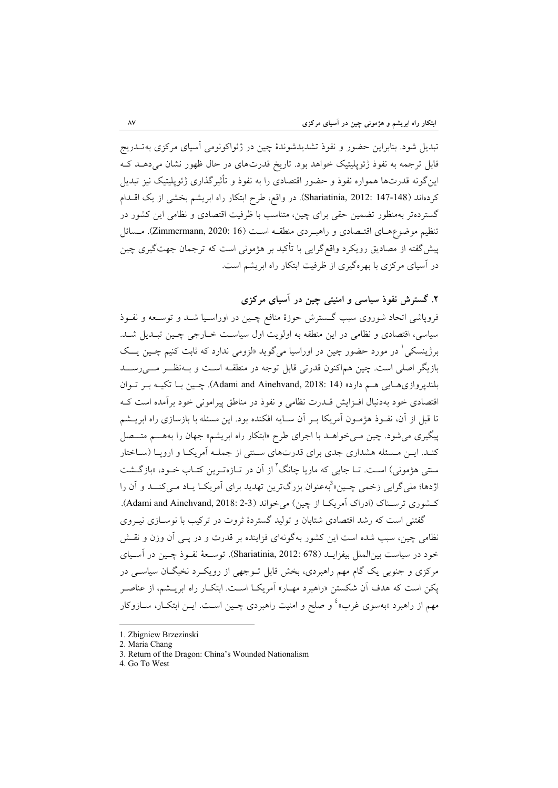تبديل شود. بنابراين حضور و نفوذ تشديدشوندة چين در ژئواكونومي آسياي مركزي بهتـدريج قابل ترجمه به نفوذ ژئوپليتيك خواهد بود. تاريخ قدرتهاي در حال ظهور نشان ميدهـد كـه اينگونه قدرتها همواره نفوذ و حضور اقتصادي را به نفوذ و تأثيرگذاري ژئوپليتيك نيز تبديل كردهاند (148-147 Shariatinia, 2012: در واقع، طرح ابتكار راه ابريشم بخشي از يك اقــدام گستردهتر بهمنظور تضمين حقي براي چين، متناسب با ظرفيت اقتصادي و نظامي اين كشور در تنظيم موضوعهـاي اقتـصادي و راهبـردي منطقـه اسـت (16 2020: ,Zimmermann(. مـسائل پيشگفته از مصاديق رويكرد واقعگرايي با تأكيد بر هژموني است كه ترجمان جهتگيري چين در آسياي مركزي با بهرهگيري از ظرفيت ابتكار راه ابريشم است.

**.2 گسترش نفوذ سياسي و امنيتي چين در آسياي مركزي** 

فروپاشي اتحاد شوروي سبب گـسترش حوزة منافع چـين در اوراسـيا شـد و توسـعه و نفـوذ سياسي، اقتصادي و نظامي در اين منطقه به اولويت اول سياسـت خـارجي چـين تبـديل شـد. برژينسكي<sup>\</sup> در مورد حضور چين در اوراسيا ميگويد «لزومي ندارد كه ثابت كنيم چـين يـــک بازيگر اصلي است. چين هماكنون قدرتي قابل توجه در منطقـه اسـت و بـهنظــر مــيرســد بلندپروازيهـايي هـم دارد» (14 2018: ,Ainehvand and Adami(. چـين بـا تكيـه بـر تـوان اقتصادي خود بهدنبال افـزايش قـدرت نظامي و نفوذ در مناطق پيراموني خود برآمده است كـه تا قبل از آن، نفـوذ هژمـون آمريكا بـر آن سـايه افكنده بود. اين مسئله با بازسازي راه ابريـشم پيگيري ميشود. چين مـيخواهـد با اجراي طرح «ابتكار راه ابريشم» جهان را بههــم متــصل كنـد. ايـن مـسئله هشداري جدي براي قدرتهاي سـنتي از جملـه آمريكـا و اروپـا (سـاختار سنتي هژموني) اسـت. تــا جايي كه ماريا چانگ<sup>7</sup> از آن در تــازهتـرين كتــاب خــود، «بازگــشت اژدها؛ ملي گرايي زخمي چـين»<sup>3</sup>بهعنوان بزرگترين تهديد براي آمريكــا يــاد مـي كنـــد و آن را كـشوري ترسـناك (ادراك آمريكـا از چين) ميخواند (2-3 2018: ,Ainehvand and Adami(.

گفتني است كه رشد اقتصادي شتابان و توليد گستردة ثروت در تركيب با نوسـازي نيـروي نظامي چين، سبب شده است اين كشور بهگونهاي فزاينده بر قدرت و در پـي آن وزن و نقـش خود در سياست بينالملل بيفزايـد (678 2012: ,Shariatinia(. توسـعة نفـوذ چـين در آسـياي مركزي و جنوبي يك گام مهم راهبردي، بخش قابل تـوجهي از رويكـرد نخبگـان سياسـي در پكن است كه هدف آن شكستن «راهبرد مهـار» آمريكـا اسـت. ابتكـار راه ابريـشم، از عناصـر مهم از راهبرد «بهسوی غرب»<sup>؛</sup> و صلح و امنیت راهبردی چـین اسـت. ایــن ابتکــار، ســازوکار

<sup>1.</sup> Zbigniew Brzezinski

<sup>2.</sup> Maria Chang

<sup>3.</sup> Return of the Dragon: China's Wounded Nationalism

<sup>4.</sup> Go To West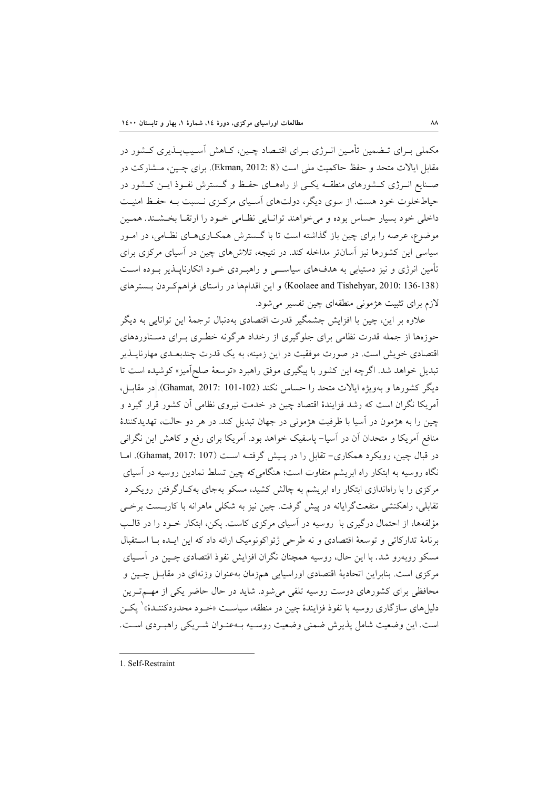مكملي بـراي تـضمين تأمـين انـرژي بـراي اقتـصاد چـين، كـاهش آسـيبپـذيري كـشور در مقابل ايالات متحد و حفظ حاكميت ملي است (8 2012: ,Ekman(. براي چـين، مـشاركت در صـنايع انـرژي كـشورهاي منطقـه يكـي از راههـاي حفـظ و گـسترش نفـوذ ايـن كـشور در حياطخلوت خود هست. از سوي ديگر، دولتهاي آسـياي مركـزي نـسبت بـه حفـظ امنيـت داخلي خود بسيار حساس بوده و ميخواهند توانـايي نظـامي خـود را ارتقـا بخـشـند. همـين موضوع، عرصه را براي چين باز گذاشته است تا با گـسترش همكـاريهـاي نظـامي، در امـور سياسي اين كشورها نيز آسانتر مداخله كند. در نتيجه، تلاشهاي چين در آسياي مركزي براي تأمين انرژي و نيز دستيابي به هدفهاي سياســي و راهبـردي خـود انكارناپـذير بـوده اسـت (136-138 Koolaee and Tishehyar, 2010: 136) و اين اقدامها در راستاي فراهمكـردن بـسترهاي لازم براي تثبيت هژموني منطقهاي چين تفسير ميشود.

علاوه بر اين، چين با افزايش چشمگير قدرت اقتصادي بهدنبال ترجمة اين توانايي به ديگر حوزهها از جمله قدرت نظامي براي جلوگيري از رخداد هرگونه خطـري بـراي دسـتاوردهاي اقتصادي خويش است. در صورت موفقيت در اين زمينه، به يك قدرت چندبعـدي مهارناپـذير تبديل خواهد شد. اگرچه اين كشور با پيگيري موفق راهبرد «توسعة صلحآميز» كوشيده است تا ديگر كشورها و بهويژه ايالات متحد را حساس نكند (101-102 2017: ,Ghamat(. در مقابـل، آمريكا نگران است كه رشد فزايندة اقتصاد چين در خدمت نيروي نظامي آن كشور قرار گيرد و چين را به هژمون در آسيا با ظرفيت هژموني در جهان تبديل كند. در هر دو حالت، تهديدكنندة منافع آمريكا و متحدان آن در آسيا- پاسفيك خواهد بود. آمريكا براي رفع و كاهش اين نگراني در قبال چين، رويكرد همكاري- تقابل را در پـيش گرفتـه اسـت (107 2017: ,Ghamat(. امـا نگاه روسيه به ابتكار راه ابريشم متفاوت است؛ هنگاميكه چين تسلط نمادين روسيه در آسياي مركزي را با راهاندازي ابتكار راه ابريشم به چالش كشيد، مسكو بهجاي بهكـارگرفتن رويكـرد تقابلي، راهكنشي منفعتگرايانه در پيش گرفت. چين نيز به شكلي ماهرانه با كاربـست برخـي مؤلفهها، از احتمال درگيري با روسيه در آسياي مركزي كاست. پكن، ابتكار خـود را در قالـب برنامة تداركاتي و توسعة اقتصادي و نه طرحي ژئواكونوميك ارائه داد كه اين ايـده بـا اسـتقبال مسكو روبهرو شد. با اين حال، روسيه همچنان نگران افزايش نفوذ اقتصادي چـين در آسـياي مركزي است. بنابراين اتحادية اقتصادي اوراسيايي همزمان بهعنوان وزنهاي در مقابـل چـين و محافظي براي كشورهاي دوست روسيه تلقي ميشود. شايد در حال حاضر يكي از مهـمتـرين دليل هاي سازگاري روسيه با نفوذ فزايندهٔ چين در منطقه، سياسـت «خـود محدودكننـدهٔ» ٰ يكـن است. اين وضعيت شامل پذيرش ضمني وضعيت روسـيه بـهعنـوان شـريكي راهبـردي اسـت.

1. Self-Restraint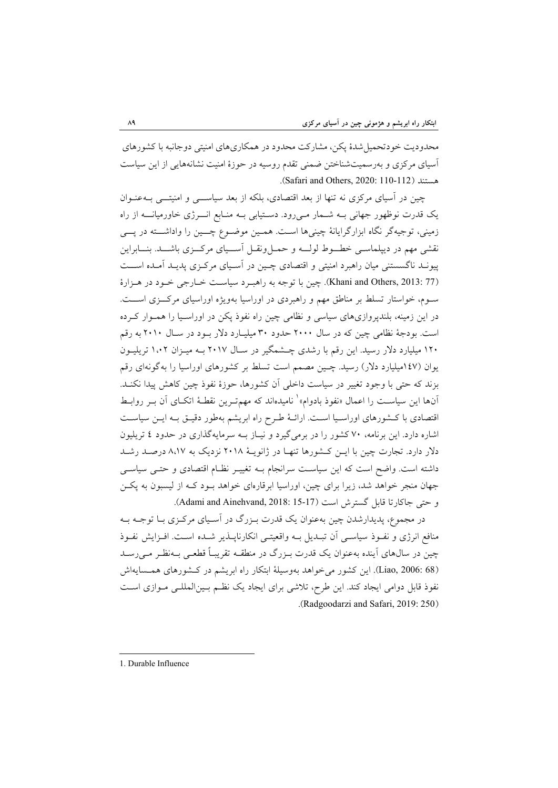محدوديت خودتحميلشدة پكن، مشاركت محدود در همكاريهاي امنيتي دوجانبه با كشورهاي آسياي مركزي و بهرسميتشناختن ضمني تقدم روسيه در حوزة امنيت نشانههايي از اين سياست .(Safari and Others, 2020: 110-112) هستند

چين در آسياي مركزي نه تنها از بعد اقتصادي، بلكه از بعد سياســي و امنيتــي بـهعنـوان يك قدرت نوظهور جهاني بـه شـمار مـيرود. دسـتيابي بـه منـابع انــرژي خاورميانــه از راه زميني، توجيهگر نگاه ابزارگرايانة چينيها اسـت. همـين موضـوع چــين را واداشــته در پــي نقشي مهم در ديپلماسـي خطــوط لولــه و حمـلونقـل آســياي مركــزي باشــد. بنــابراين پيونـد ناگسستني ميان راهبرد امنيتي و اقتصادي چـين در آسـياي مركـزي پديـد آمـده اســت (77 Khani and Others, 2013). چين با توجه به راهبـرد سياسـت خـارجي خـود در هـزارة سـوم، خواستار تسلط بر مناطق مهم و راهبردي در اوراسيا بهويژه اوراسياي مركــزي اســت. در اين زمينه، بلندپروازيهاي سياسي و نظامي چين راه نفوذ پكن در اوراسـيا را همـوار كـرده است. بودجة نظامي چين كه در سال 2000 حدود 30 ميليـارد دلار بـود در سـال 2010 به رقم 120 ميليارد دلار رسيد. اين رقم با رشدي چـشمگير در سـال 2017 بـه ميـزان 1،02 تريليـون يوان (147ميليارد دلار) رسيد. چـين مصمم است تسلط بر كشورهاي اوراسيا را بهگونهاي رقم بزند كه حتي با وجود تغيير در سياست داخلي آن كشورها، حوزة نفوذ چين كاهش پيدا نكنـد. آنها اين سياسـت را اعمال «نفوذ بادوام»<sup>۱</sup> ناميدهاند كه مهمتـرين نقطـهٔ اتكـاي آن بـر روابـط اقتصادي با كـشورهاي اوراسـيا اسـت. ارائـة طـرح راه ابريشم بهطور دقيـق بـه ايـن سياسـت اشاره دارد. اين برنامه، 70 كشور را در برميگيرد و نيـاز بـه سرمايهگذاري در حدود 4 تريليون دلار دارد. تجارت چين با ايـن كـشورها تنهـا در ژانويـة 2018 نزديك به 8،17 درصـد رشـد داشته است. واضح است كه اين سياسـت سرانجام بـه تغييـر نظـام اقتصادي و حتـي سياسـي جهان منجر خواهد شد، زيرا براي چين، اوراسيا ابرقارهاي خواهد بـود كـه از ليسبون به پكـن و حتى جاكارتا قابل گسترش است (17-15 :Adami and Ainehvand, 2018).

در مجموع، پديدارشدن چين بهعنوان يك قدرت بـزرگ در آسـياي مركـزي بـا توجـه بـه منافع انرژي و نفـوذ سياسـي آن تبـديل بـه واقعيتـي انكارناپـذير شـده اسـت. افـزايش نفـوذ چين در سالهاي آينده بهعنوان يك قدرت بـزرگ در منطقـه تقريبـاً قطعـي بـهنظـر مـيرسـد (68 2006: ,Liao(. اين كشور ميخواهد بهوسيلة ابتكار راه ابريشم در كـشورهاي همـسايهاش نفوذ قابل دوامي ايجاد كند. اين طرح، تلاشي براي ايجاد يك نظـم بـينالمللـي مـوازي اسـت .(Radgoodarzi and Safari, 2019: 250)

1. Durable Influence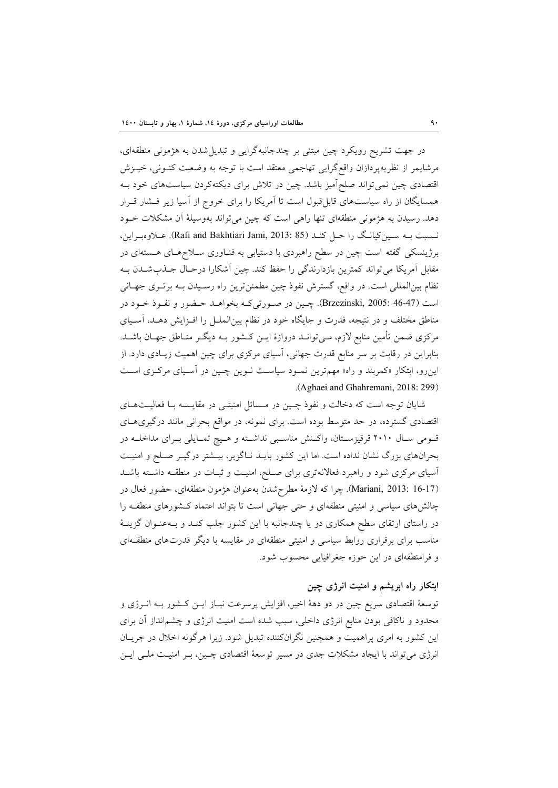در جهت تشريح رويكرد چين مبتني بر چندجانبهگرايي و تبديلشدن به هژموني منطقهاي، مرشايمر از نظريهپردازان واقعگرايي تهاجمي معتقد است با توجه به وضعيت كنـوني، خيـزش اقتصادي چين نميتواند صلحآميز باشد. چين در تلاش براي ديكتهكردن سياستهاي خود بـه همسايگان از راه سياستهاي قابلقبول است تا آمريكا را براي خروج از آسيا زير فـشار قـرار دهد. رسيدن به هژموني منطقهاي تنها راهي است كه چين ميتواند بهوسيلة آن مشكلات خـود نـسبت بـه سـينكيانـگ را حـل كنـد (85 2013: ,Jami Bakhtiari and Rafi(. عـلاوهبـراين، برژينسكي گفته است چين در سطح راهبردي با دستيابي به فنـاوري سـلاحهـاي هـستهاي در مقابل آمريكا ميتواند كمترين بازدارندگي را حفظ كند. چين آشكارا درحـال جـذبشـدن بـه نظام بينالمللي است. در واقع، گسترش نفوذ چين مطمئنترين راه رسـيدن بـه برتـري جهـاني است (46-47 2005: ,Brzezinski(. چـين در صـورتيكـه بخواهـد حـضور و نفـوذ خـود در مناطق مختلف و در نتيجه، قدرت و جايگاه خود در نظام بينالملـل را افـزايش دهـد، آسـياي مركزي ضمن تأمين منابع لازم، مـيتوانـد دروازة ايـن كـشور بـه ديگـر منـاطق جهـان باشـد. بنابراين در رقابت بر سر منابع قدرت جهاني، آسياي مركزي براي چين اهميت زيـادي دارد. از اينرو، ابتكار «كمربند و راه» مهمترين نمـود سياسـت نـوين چـين در آسـياي مركـزي اسـت .(Aghaei and Ghahremani, 2018: 299)

شايان توجه است كه دخالت و نفوذ چـين در مـسائل امنيتـي در مقايـسه بـا فعاليـتهـاي اقتصادي گسترده، در حد متوسط بوده است. براي نمونه، در مواقع بحراني مانند درگيريهـاي قـومي سـال 2010 قرقيزسـتان، واكـنش مناسـبي نداشـته و هـيچ تمـايلي بـراي مداخلـه در بحرانهاي بزرگ نشان نداده است. اما اين كشور بايـد نـاگزير، بيـشتر درگيـر صـلح و امنيـت آسياي مركزي شود و راهبرد فعالانهتري براي صـلح، امنيـت و ثبـات در منطقـه داشـته باشـد (16-17 2013: ,Mariani(. چرا كه لازمة مطرحشدن بهعنوان هژمون منطقهاي، حضور فعال در چالشهاي سياسي و امنيتي منطقهاي و حتي جهاني است تا بتواند اعتماد كـشورهاي منطقـه را در راستاي ارتقاي سطح همكاري دو يا چندجانبه با اين كشور جلب كنـد و بـهعنـوان گزينـة مناسب براي برقراري روابط سياسي و امنيتي منطقهاي در مقايسه با ديگر قدرتهاي منطقـهاي و فرامنطقهاي در اين حوزه جغرافيايي محسوب شود.

## **ابتكار راه ابريشم و امنيت انرژي چين**

توسعة اقتصادي سريع چين در دو دهة اخير، افزايش پرسرعت نيـاز ايـن كـشور بـه انـرژي و محدود و ناكافي بودن منابع انرژي داخلي، سبب شده است امنيت انرژي و چشمانداز آن براي اين كشور به امري پراهميت و همچنين نگرانكننده تبديل شود. زيرا هرگونه اخلال در جريـان انرژي ميتواند با ايجاد مشكلات جدي در مسير توسعة اقتصادي چـين، بـر امنيـت ملـي ايـن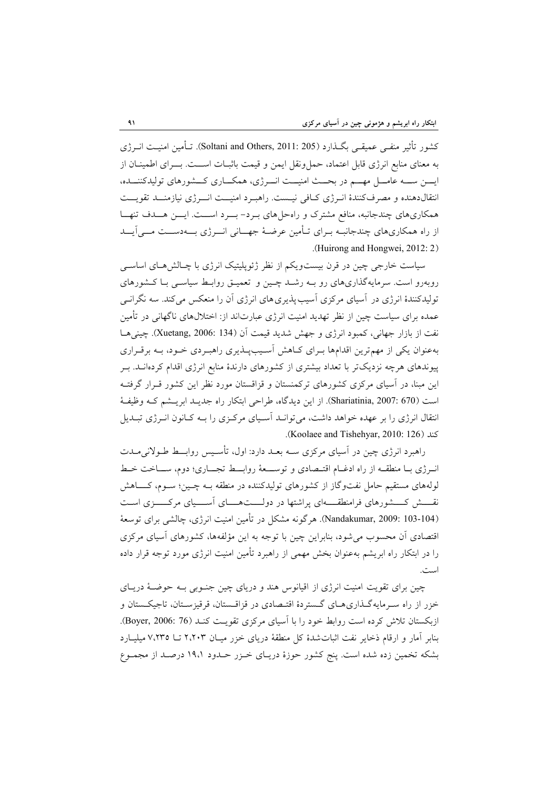كشور تأثير منفـي عميقـي بگـذارد (205 2011: ,Others and Soltani(. تـأمين امنيـت انـرژي به معناي منابع انرژي قابل اعتماد، حمل ونقل ايمن و قيمت باثبــات اســـت. بــــراي اطمينــان از ايــن ســه عامــل مهــم در بحــث امنيــت انــرژي، همكــاري كــشورهاي توليدكننــده، انتقالدهنده و مصرفكنندة انـرژي كـافي نيـست. راهبـرد امنيــت انــرژي نيازمنــد تقويــت همكاريهاي چندجانبه، منافع مشترك و راهحلهاي بـرد- بــرد اســت. ايــن هــدف تنهــا از راه همكاريهاي چندجانبـه بـراي تـأمين عرضـة جهــاني انــرژي بــهدســت مــيآيــد .(Huirong and Hongwei, 2012: 2)

سياست خارجي چين در قرن بيستويكم از نظر ژئوپليتيك انرژي با چـالشهـاي اساسـي روبهرو است. سرمايهگذاريهاي رو بـه رشـد چـين و تعميـق روابـط سياسـي بـا كـشورهاي توليدكنندة انرژي در آسياي مركزي آسيبپذيريهاي انرژي آن را منعكس ميكند. سه نگرانـي عمده براي سياست چين از نظر تهديد امنيت انرژي عبارتاند از: اختلالهاي ناگهاني در تأمين نفت از بازار جهاني، كمبود انرژي و جهش شديد قيمت آن (134 .Xuetang, 2006: 134). چيني هـا بهعنوان يكي از مهمترين اقدامها بـراي كـاهش آسـيبپـذيري راهبـردي خـود، بـه برقـراري پيوندهاي هرچه نزديكتر با تعداد بيشتري از كشورهاي دارندة منابع انرژي اقدام كردهانـد. بـر اين مبنا، در آسياي مركزي كشورهاي تركمنستان و قزاقستان مورد نظر اين كشور قـرار گرفتـه است (670 2007: ,Shariatinia(. از اين ديدگاه، طراحي ابتكار راه جديـد ابريـشم كـه وظيفـة انتقال انرژي را بر عهده خواهد داشت، ميتوانـد آسـياي مركـزي را بـه كـانون انـرژي تبـديل .(Koolaee and Tishehyar, 2010: 126) كند

راهبرد انرژي چين در آسياي مركزي سـه بعـد دارد: اول، تأسـيس روابــط طـولانيمـدت انـرژي بـا منطقـه از راه ادغـام اقتـصادي و توســعة روابــط تجــاري؛ دوم، ســاخت خـط لولههاي مستقيم حامل نفتوگاز از كشورهاي توليدكننده در منطقه بـه چـين؛ سـوم، كـــاهش نقـــش كـــشورهاي فرامنطقـــهاي پراشتها در دولـــتهـــاي آســـياي مركــــزي اسـت (103-104 2009: ,Nandakumar(. هرگونه مشكل در تأمين امنيت انرژي، چالشي براي توسعة اقتصادي آن محسوب ميشود، بنابراين چين با توجه به اين مؤلفهها، كشورهاي آسياي مركزي را در ابتكار راه ابريشم بهعنوان بخش مهمي از راهبرد تأمين امنيت انرژي مورد توجه قرار داده است.

چين براي تقويت امنيت انرژي از اقيانوس هند و درياي چين جنـوبي بـه حوضـة دريـاي خزر از راه سـرمايهگـذاريهـاي گـستردة اقتـصادي در قزاقـستان، قرقيزسـتان، تاجيكـستان و ازبكستان تلاش كرده است روابط خود را با آسياي مركزي تقويـت كنـد (76 2006: ,Boyer(. بنابر آمار و ارقام ذخاير نفت اثباتشدة كل منطقة درياي خزر ميـان 2،203 تـا 7،235 ميليـارد بشكه تخمين زده شده است. پنج كشور حوزة دريـاي خـزر حـدود 19،1 درصـد از مجمـوع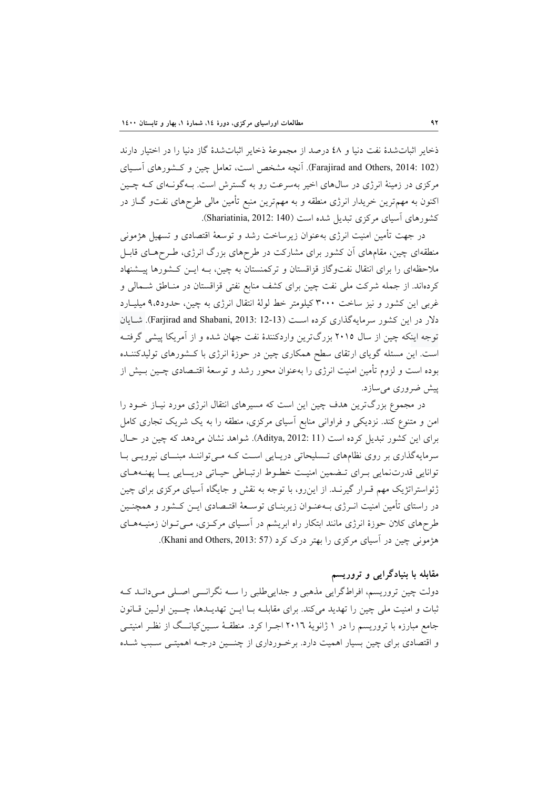ذخاير اثباتشدة نفت دنيا و 48 درصد از مجموعة ذخاير اثباتشدة گاز دنيا را در اختيار دارند (Farajirad and Others, 2014: 102). آنچه مشخص است، تعامل چين و كـشورهاي آسـياي مركزي در زمينة انرژي در سالهاي اخير بهسرعت رو به گسترش است. بـهگونـهاي كـه چـين اكنون به مهمترين خريدار انرژي منطقه و به مهمترين منبع تأمين مالي طرحهاي نفتو گـاز در كشورهاي آسياي مركزي تبديل شده است (140 :140 Shariatinia, 2012).

در جهت تأمين امنيت انرژي بهعنوان زيرساخت رشد و توسعة اقتصادي و تسهيل هژموني منطقهاي چين، مقامهاي آن كشور براي مشاركت در طرحهاي بزرگ انرژي، طـرحهـاي قابـل ملاحظهاي را براي انتقال نفتوگاز قزاقستان و تركمنستان به چين، بـه ايـن كـشورها پيـشنهاد كردهاند. از جمله شركت ملي نفت چين براي كشف منابع نفتي قزاقستان در منـاطق شـمالي و غربي اين كشور و نيز ساخت 3000 كيلومتر خط لولة انتقال انرژي به چين، حدود9،5 ميليـارد دلار در اين كشور سرمايهگذاري كرده است (12-12 :12-13 Farjirad and Shabani, 2013). شـايان توجه اينكه چين از سال 2015 بزرگترين واردكنندة نفت جهان شده و از آمريكا پيشي گرفتـه است. اين مسئله گوياي ارتقاي سطح همكاري چين در حوزة انرژي با كـشورهاي توليدكننـده بوده است و لزوم تأمين امنيت انرژي را بهعنوان محور رشد و توسعة اقتـصادي چـين بـيش از پيش ضروري ميسازد.

در مجموع بزرگترين هدف چين اين است كه مسيرهاي انتقال انرژي مورد نيـاز خـود را امن و متنوع كند. نزديكي و فراواني منابع آسياي مركزي، منطقه را به يك شريك تجاري كامل براي اين كشور تبديل كرده است (11 2012: ,Aditya(. شواهد نشان ميدهد كه چين در حـال سرمايهگذاري بر روي نظامهاي تـسليحاتي دريـايي اسـت كـه مـيتواننـد مبنــاي نيرويـي بـا توانايي قدرتنمايي بـراي تـضمين امنيـت خطـوط ارتبـاطي حيـاتي دريــايي يــا پهنـههـاي ژئواستراتژيك مهم قـرار گيرنـد. از اينرو، با توجه به نقش و جايگاه آسياي مركزي براي چين در راستاي تأمين امنيت انـرژي بـهعنـوان زيربنـاي توسـعة اقتـصادي ايـن كـشور و همچنـين طرحهاي كلان حوزة انرژي مانند ابتكار راه ابريشم در آسـياي مركـزي، مـيتـوان زمنيـههـاي هژموني چين در آسياي مركزي را بهتر درك كرد (57 :1013 Khani and Others, ).

# **مقابله با بنيادگرايي و تروريسم**

دولت چين تروريسم، افراطگرايي مذهبي و جداييطلبي را سـه نگرانــي اصـلي مـيدانـد كـه ثبات و امنيت ملي چين را تهديد ميكند. براي مقابلـه بـا ايـن تهديـدها، چــين اولـين قـانون جامع مبارزه با تروريسم را در 1 ژانوية 2016 اجـرا كرد. منطقـة سـينكيانــگ از نظـر امنيتـي و اقتصادي براي چين بسيار اهميت دارد. برخـورداري از چنــين درجـه اهميتـي سـبب شـده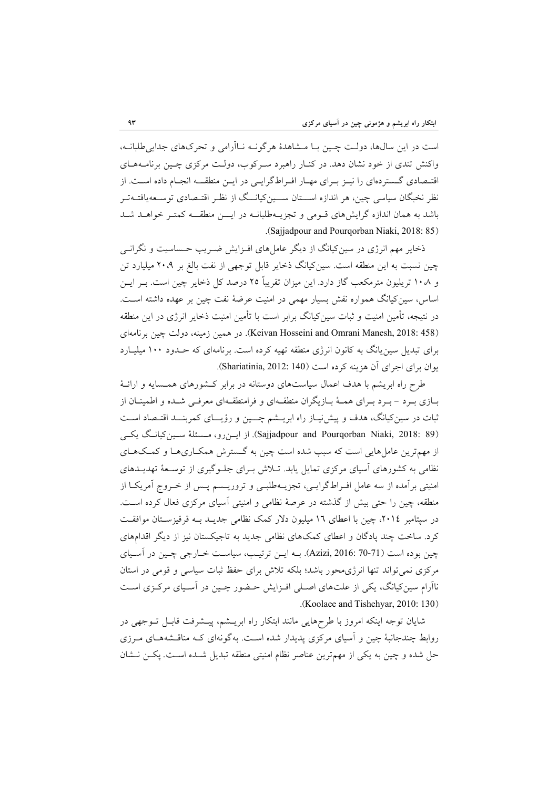است در اين سالها، دولـت چـين بـا مـشاهدهٔ هرگونــه نــاآرامي و تحركهاي جدايي طلبانــه، واكنش تندي از خود نشان دهد. در كنـار راهبرد سـركوب، دولـت مركزي چـين برنامـههـاي اقتـصادي گـستردهاي را نيـز بـراي مهـار افـراطگرايـي در ايـن منطقــه انجـام داده اسـت. از نظر نخبگان سياسي چين، هر اندازه اســـتان ســـينکيانــگ از نظـر اقتـصادي توسـعهيافتـهتـر باشد به همان اندازه گرايشهاي قـومي و تجزيـهطلبانـه در ايــن منطقــه كمتـر خواهـد شـد .(Sajjadpour and Pourqorban Niaki, 2018: 85)

ذخاير مهم انرژي در سينكيانگ از ديگر عاملهاي افـزايش ضـريب حـساسيت و نگرانـي چين نسبت به اين منطقه است. سينكيانگ ذخاير قابل توجهي از نفت بالغ بر 20،9 ميليارد تن و 10،8 تريليون مترمكعب گاز دارد. اين ميزان تقريباً 25 درصد كل ذخاير چين است. بـر ايـن اساس، سينكيانگ همواره نقش بسيار مهمي در امنيت عرضة نفت چين بر عهده داشته اسـت. در نتيجه، تأمين امنيت و ثبات سين كيانگ برابر است با تأمين امنيت ذخاير انرژي در اين منطقه (458 Keivan Hosseini and Omrani Manesh, 2018: در همين زمينه، دولت چين برنامهاي براي تبديل سينيانگ به كانون انرژي منطقه تهيه كرده است. برنامهاي كه حـدود 100 ميليـارد يوان براي اجراي آن هزينه كرده است (140 :Shariatinia, 2012).

طرح راه ابريشم با هدف اعمال سياستهاي دوستانه در برابر كـشورهاي همـسايه و ارائـة بـازي بـرد - بـرد بـراي همـة بـازيگران منطقـهاي و فرامنطقـهاي معرفـي شـده و اطمينـان از ثبات در سينكيانگ، هدف و پيشنيـاز راه ابريـشم چــين و رؤيــاي كمربنــد اقتـصاد اسـت (89 Sajjadpour and Pourqorban Niaki, 2018: 39). از ايـن رو، مـسئلة سـين كيانـگ يكـي از مهمترين عاملهايي است كه سبب شده است چين به گـسترش همكـاريهـا و كمـكهـاي نظامي به كشورهاي آسياي مركزي تمايل يابد. تـلاش بـراي جلـوگيري از توسـعة تهديـدهاي امنيتي برآمده از سه عامل افـراطگرايـي، تجزيـهطلبـي و تروريـسم پـس از خـروج آمريكـا از منطقه، چين را حتي بيش از گذشته در عرصة نظامي و امنيتي آسياي مركزي فعال كرده اسـت. در سپتامبر ،2014 چين با اعطاي 16 ميليون دلار كمك نظامي جديـد بـه قرقيزسـتان موافقـت كرد. ساخت چند پادگان و اعطاي كمكهاي نظامي جديد به تاجيكستان نيز از ديگر اقدامهاي چين بوده است (70-71 2016: ,Azizi(. بـه ايـن ترتيـب، سياسـت خـارجي چـين در آسـياي مركزي نميتواند تنها انرژيمحور باشد؛ بلكه تلاش براي حفظ ثبات سياسي و قومي در استان ناآرام سينكيانگ، يكي از علتهاي اصـلي افـزايش حـضور چـين در آسـياي مركـزي اسـت .(Koolaee and Tishehyar, 2010: 130)

شايان توجه اينكه امروز با طرحهايي مانند ابتكار راه ابريـشم، پيـشرفت قابـل تـوجهي در روابط چندجانبة چين و آسياي مركزي پديدار شده اسـت. بهگونهاي كـه مناقـشههـاي مـرزي حل شده و چين به يكي از مهمترين عناصر نظام امنيتي منطقه تبديل شـده اسـت. پكـن نـشان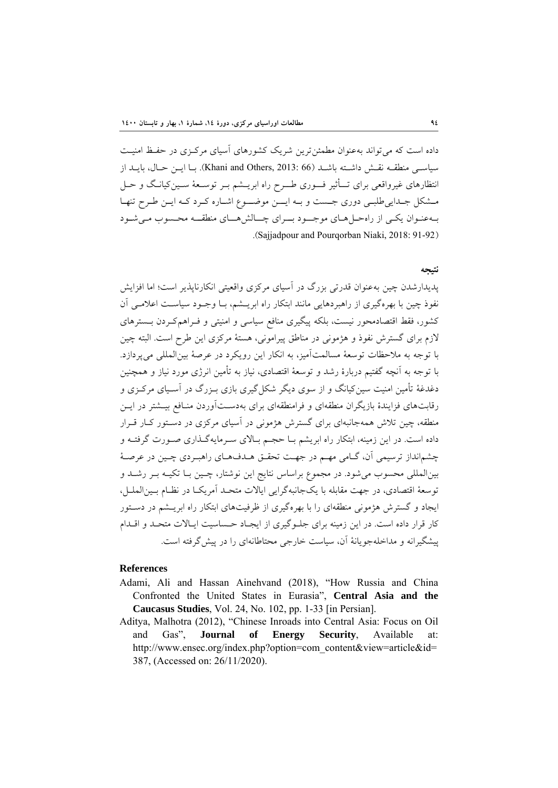داده است كه ميتواند بهعنوان مطمئنترين شريك كشورهاي آسياي مركـزي در حفـظ امنيـت سياسـي منطقــه نقــش داشــته باشــد (66 :Khani and Others, 2013). بــا ايــن حــال، بايــد از انتظارهاي غيرواقعي براي تــأثير فــوري طــرح راه ابريـشم بـر توسـعة سـينكيانـگ و حـل مـشكل جـداييطلبـي دوري جـست و بـه ايــن موضــوع اشـاره كـرد كـه ايـن طـرح تنهـا بـهعنـوان يكـي از راهحـلهـاي موجــود بــراي چــالشهــاي منطقــه محـسوب مـيشـود .(Sajjadpour and Pourqorban Niaki, 2018: 91-92)

## **نتيجه**

پديدارشدن چين بهعنوان قدرتي بزرگ در آسياي مركزي واقعيتي انكارناپذير است؛ اما افزايش نفوذ چين با بهرهگيري از راهبردهايي مانند ابتكار راه ابريـشم، بـا وجـود سياسـت اعلامـي آن كشور، فقط اقتصادمحور نيست، بلكه پيگيري منافع سياسي و امنيتي و فـراهمكـردن بـسترهاي لازم براي گسترش نفوذ و هژموني در مناطق پيراموني، هستة مركزي اين طرح است. البته چين با توجه به ملاحظات توسعة مسالمتآميز، به انكار اين رويكرد در عرصة بينالمللي ميپردازد. با توجه به آنچه گفتيم دربارة رشد و توسعة اقتصادي، نياز به تأمين انرژي مورد نياز و همچنين دغدغة تأمين امنيت سينكيانگ و از سوي ديگر شكلگيري بازي بـزرگ در آسـياي مركـزي و رقابتهاي فزايندة بازيگران منطقهاي و فرامنطقهاي براي بهدسـتآوردن منـافع بيـشتر در ايـن منطقه، چين تلاش همهجانبهاي براي گسترش هژموني در آسياي مركزي در دسـتور كـار قـرار داده است. در اين زمينه، ابتكار راه ابريشم بـا حجـم بـالاي سـرمايهگـذاري صـورت گرفتـه و چشمانداز ترسيمي آن، گـامي مهـم در جهـت تحقـق هـدفهـاي راهبـردي چـين در عرصـة بينالمللي محسوب ميشود. در مجموع براساس نتايج اين نوشتار، چـين بـا تكيـه بـر رشـد و توسعة اقتصادي، در جهت مقابله با يكجانبهگرايي ايالات متحـد آمريكـا در نظـام بـينالملـل، ايجاد و گسترش هژموني منطقهاي را با بهرهگيري از ظرفيتهاي ابتكار راه ابريـشم در دسـتور كار قرار داده است. در اين زمينه براي جلـوگيري از ايجـاد حـساسيت ايـالات متحـد و اقـدام پيشگيرانه و مداخلهجويانة آن، سياست خارجي محتاطانهاي را در پيشگرفته است.

### **References**

- Adami, Ali and Hassan Ainehvand (2018), "How Russia and China Confronted the United States in Eurasia", **Central Asia and the Caucasus Studies**, Vol. 24, No. 102, pp. 1-33 [in Persian].
- Aditya, Malhotra (2012), "Chinese Inroads into Central Asia: Focus on Oil and Gas", **Journal of Energy Security**, Available at: http://www.ensec.org/index.php?option=com\_content&view=article&id= 387, (Accessed on: 26/11/2020).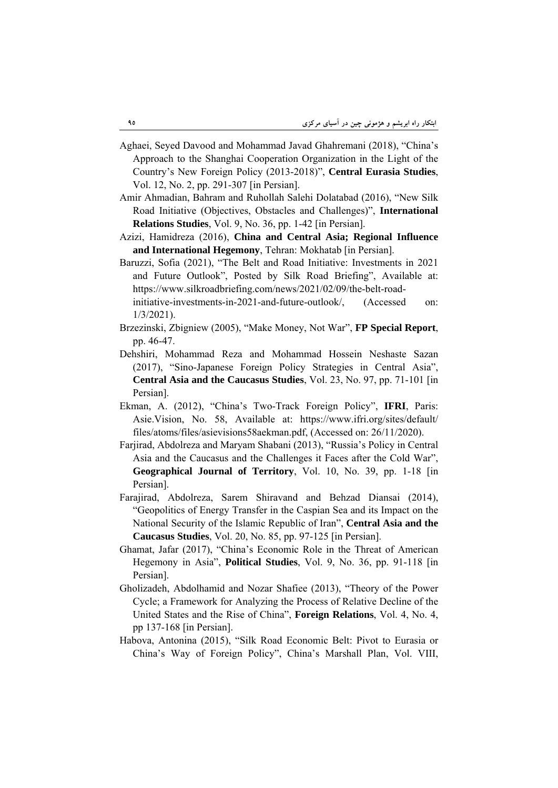- Aghaei, Seyed Davood and Mohammad Javad Ghahremani (2018), "China's Approach to the Shanghai Cooperation Organization in the Light of the Country's New Foreign Policy (2013-2018)", **Central Eurasia Studies**, Vol. 12, No. 2, pp. 291-307 [in Persian].
- Amir Ahmadian, Bahram and Ruhollah Salehi Dolatabad (2016), "New Silk Road Initiative (Objectives, Obstacles and Challenges)", **International Relations Studies**, Vol. 9, No. 36, pp. 1-42 [in Persian].
- Azizi, Hamidreza (2016), **China and Central Asia; Regional Influence and International Hegemony**, Tehran: Mokhatab [in Persian].
- Baruzzi, Sofia (2021), "The Belt and Road Initiative: Investments in 2021 and Future Outlook", Posted by Silk Road Briefing", Available at: https://www.silkroadbriefing.com/news/2021/02/09/the-belt-roadinitiative-investments-in-2021-and-future-outlook/, (Accessed on:
- 1/3/2021). Brzezinski, Zbigniew (2005), "Make Money, Not War", **FP Special Report**, pp. 46-47.
- Dehshiri, Mohammad Reza and Mohammad Hossein Neshaste Sazan (2017), "Sino-Japanese Foreign Policy Strategies in Central Asia", **Central Asia and the Caucasus Studies**, Vol. 23, No. 97, pp. 71-101 [in Persian].
- Ekman, A. (2012), "China's Two-Track Foreign Policy", **IFRI**, Paris: Asie.Vision, No. 58, Available at: https://www.ifri.org/sites/default/ files/atoms/files/asievisions58aekman.pdf, (Accessed on: 26/11/2020).
- Farjirad, Abdolreza and Maryam Shabani (2013), "Russia's Policy in Central Asia and the Caucasus and the Challenges it Faces after the Cold War", **Geographical Journal of Territory**, Vol. 10, No. 39, pp. 1-18 [in Persian].
- Farajirad, Abdolreza, Sarem Shiravand and Behzad Diansai (2014), "Geopolitics of Energy Transfer in the Caspian Sea and its Impact on the National Security of the Islamic Republic of Iran", **Central Asia and the Caucasus Studies**, Vol. 20, No. 85, pp. 97-125 [in Persian].
- Ghamat, Jafar (2017), "China's Economic Role in the Threat of American Hegemony in Asia", **Political Studies**, Vol. 9, No. 36, pp. 91-118 [in Persian].
- Gholizadeh, Abdolhamid and Nozar Shafiee (2013), "Theory of the Power Cycle; a Framework for Analyzing the Process of Relative Decline of the United States and the Rise of China", **Foreign Relations**, Vol. 4, No. 4, pp 137-168 [in Persian].
- Habova, Antonina (2015), "Silk Road Economic Belt: Pivot to Eurasia or China's Way of Foreign Policy", China's Marshall Plan, Vol. VIII,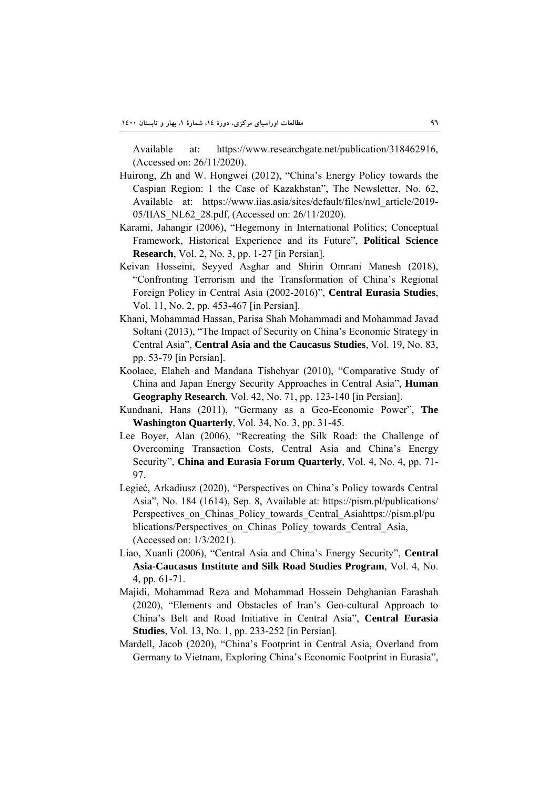Available at: https://www.researchgate.net/publication/318462916, (Accessed on: 26/11/2020).

- Huirong, Zh and W. Hongwei (2012), "China's Energy Policy towards the Caspian Region: 1 the Case of Kazakhstan", The Newsletter, No. 62, Available at: https://www.iias.asia/sites/default/files/nwl\_article/2019- 05/IIAS\_NL62\_28.pdf, (Accessed on: 26/11/2020).
- Karami, Jahangir (2006), "Hegemony in International Politics; Conceptual Framework, Historical Experience and its Future", **Political Science Research**, Vol. 2, No. 3, pp. 1-27 [in Persian].
- Keivan Hosseini, Seyyed Asghar and Shirin Omrani Manesh (2018), "Confronting Terrorism and the Transformation of China's Regional Foreign Policy in Central Asia (2002-2016)", **Central Eurasia Studies**, Vol. 11, No. 2, pp. 453-467 [in Persian].
- Khani, Mohammad Hassan, Parisa Shah Mohammadi and Mohammad Javad Soltani (2013), "The Impact of Security on China's Economic Strategy in Central Asia", **Central Asia and the Caucasus Studies**, Vol. 19, No. 83, pp. 53-79 [in Persian].
- Koolaee, Elaheh and Mandana Tishehyar (2010), "Comparative Study of China and Japan Energy Security Approaches in Central Asia", **Human Geography Research**, Vol. 42, No. 71, pp. 123-140 [in Persian].
- Kundnani, Hans (2011), "Germany as a Geo-Economic Power", **The Washington Quarterly**, Vol. 34, No. 3, pp. 31-45.
- Lee Boyer, Alan (2006), "Recreating the Silk Road: the Challenge of Overcoming Transaction Costs, Central Asia and China's Energy Security", **China and Eurasia Forum Quarterly**, Vol. 4, No. 4, pp. 71- 97.
- Legieć, Arkadiusz (2020), "Perspectives on China's Policy towards Central Asia", No. 184 (1614), Sep. 8, Available at: https://pism.pl/publications/ Perspectives on Chinas Policy towards Central Asiahttps://pism.pl/pu blications/Perspectives\_on\_Chinas\_Policy\_towards\_Central\_Asia, (Accessed on: 1/3/2021).
- Liao, Xuanli (2006), "Central Asia and China's Energy Security", **Central Asia-Caucasus Institute and Silk Road Studies Program**, Vol. 4, No. 4, pp. 61-71.
- Majidi, Mohammad Reza and Mohammad Hossein Dehghanian Farashah (2020), "Elements and Obstacles of Iran's Geo-cultural Approach to China's Belt and Road Initiative in Central Asia", **Central Eurasia Studies**, Vol. 13, No. 1, pp. 233-252 [in Persian].
- Mardell, Jacob (2020), "China's Footprint in Central Asia, Overland from Germany to Vietnam, Exploring China's Economic Footprint in Eurasia",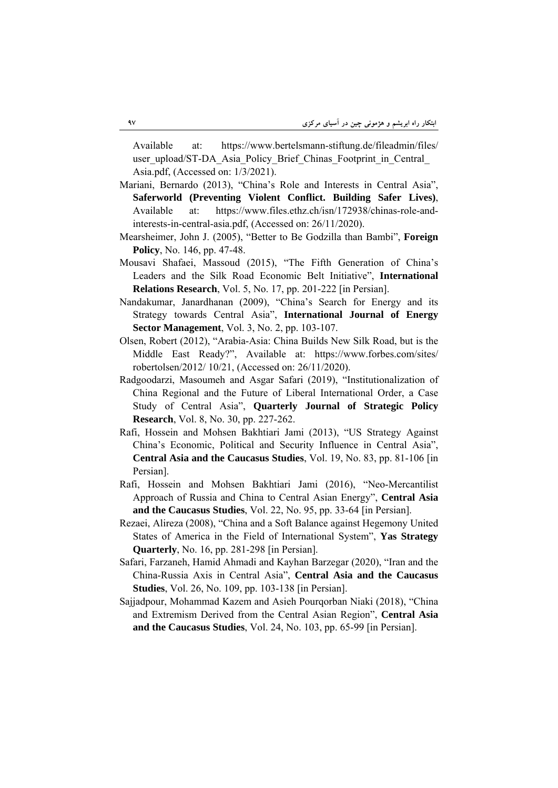Available at: https://www.bertelsmann-stiftung.de/fileadmin/files/ user\_upload/ST-DA\_Asia\_Policy\_Brief\_Chinas\_Footprint\_in\_Central Asia.pdf, (Accessed on: 1/3/2021).

- Mariani, Bernardo (2013), "China's Role and Interests in Central Asia", **Saferworld (Preventing Violent Conflict. Building Safer Lives)**, Available at: https://www.files.ethz.ch/isn/172938/chinas-role-andinterests-in-central-asia.pdf, (Accessed on: 26/11/2020).
- Mearsheimer, John J. (2005), "Better to Be Godzilla than Bambi", **Foreign Policy**, No. 146, pp. 47-48.
- Mousavi Shafaei, Massoud (2015), "The Fifth Generation of China's Leaders and the Silk Road Economic Belt Initiative", **International Relations Research**, Vol. 5, No. 17, pp. 201-222 [in Persian].
- Nandakumar, Janardhanan (2009), "China's Search for Energy and its Strategy towards Central Asia", **International Journal of Energy Sector Management**, Vol. 3, No. 2, pp. 103-107.
- Olsen, Robert (2012), "Arabia-Asia: China Builds New Silk Road, but is the Middle East Ready?", Available at: https://www.forbes.com/sites/ robertolsen/2012/ 10/21, (Accessed on: 26/11/2020).
- Radgoodarzi, Masoumeh and Asgar Safari (2019), "Institutionalization of China Regional and the Future of Liberal International Order, a Case Study of Central Asia", **Quarterly Journal of Strategic Policy Research**, Vol. 8, No. 30, pp. 227-262.
- Rafi, Hossein and Mohsen Bakhtiari Jami (2013), "US Strategy Against China's Economic, Political and Security Influence in Central Asia", **Central Asia and the Caucasus Studies**, Vol. 19, No. 83, pp. 81-106 [in Persian].
- Rafi, Hossein and Mohsen Bakhtiari Jami (2016), "Neo-Mercantilist Approach of Russia and China to Central Asian Energy", **Central Asia and the Caucasus Studies**, Vol. 22, No. 95, pp. 33-64 [in Persian].
- Rezaei, Alireza (2008), "China and a Soft Balance against Hegemony United States of America in the Field of International System", **Yas Strategy Quarterly**, No. 16, pp. 281-298 [in Persian].
- Safari, Farzaneh, Hamid Ahmadi and Kayhan Barzegar (2020), "Iran and the China-Russia Axis in Central Asia", **Central Asia and the Caucasus Studies**, Vol. 26, No. 109, pp. 103-138 [in Persian].
- Sajjadpour, Mohammad Kazem and Asieh Pourqorban Niaki (2018), "China and Extremism Derived from the Central Asian Region", **Central Asia and the Caucasus Studies**, Vol. 24, No. 103, pp. 65-99 [in Persian].